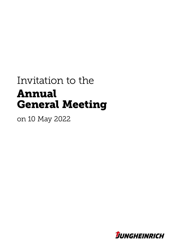# Invitation to the Annual General Meeting

on 10 May 2022

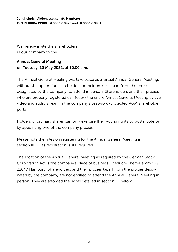# Jungheinrich Aktiengesellschaft, Hamburg ISIN DE0006219900, DE0006219926 and DE0006219934

We hereby invite the shareholders in our company to the

# Annual General Meeting on Tuesday, 10 May 2022, at 10.00 a.m.

The Annual General Meeting will take place as a virtual Annual General Meeting, without the option for shareholders or their proxies (apart from the proxies designated by the company) to attend in person. Shareholders and their proxies who are properly registered can follow the entire Annual General Meeting by live video and audio stream in the company's password-protected AGM shareholder portal.

Holders of ordinary shares can only exercise their voting rights by postal vote or by appointing one of the company proxies.

Please note the rules on registering for the Annual General Meeting in section III. 2., as registration is still required.

The location of the Annual General Meeting as required by the German Stock Corporation Act is the company's place of business, Friedrich-Ebert-Damm 129, 22047 Hamburg. Shareholders and their proxies (apart from the proxies designated by the company) are not entitled to attend the Annual General Meeting in person. They are afforded the rights detailed in section III. below.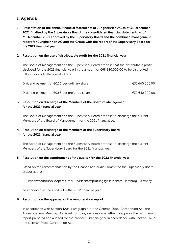# I. Agenda

1. Presentation of the annual financial statements of Jungheinrich AG as of 31 December 2021 finalised by the Supervisory Board, the consolidated financial statements as of 31 December 2021 approved by the Supervisory Board and the combined management report for Jungheinrich AG and the Group with the report of the Supervisory Board for the 2021 financial year.

#### 2. Resolution on the use of distributable profit for the 2021 financial year

The Board of Management and the Supervisory Board propose that the distributable profit disclosed for the 2021 financial year in the amount of €68,280,000.00 to be distributed in full as follows to the shareholders:

| Dividend payment of $\epsilon$ 0.66 per ordinary share  | €35,640,000.00  |
|---------------------------------------------------------|-----------------|
| Dividend payment of $\epsilon$ 0.68 per preferred share | €32,640,000.00. |

# 3. Resolution on discharge of the Members of the Board of Management for the 2021 financial year

The Board of Management and the Supervisory Board propose to discharge the current Members of the Board of Management for the 2021 financial year.

# 4. Resolution on discharge of the Members of the Supervisory Board for the 2021 financial year

The Board of Management and the Supervisory Board propose to discharge the current Members of the Supervisory Board for the 2021 financial year.

#### 5. Resolution on the appointment of the auditor for the 2022 financial year

Based on the recommendation by the Finance and Audit Committee the Supervisory Board proposes that

PricewaterhouseCoopers GmbH, Wirtschaftsprüfungsgesellschaft, Hamburg, Germany,

be appointed as the auditor for the 2022 financial year.

#### 6. Resolution on the approval of the remuneration report

In accordance with Section 120a, Paragraph 4 of the German Stock Corporation Act, the Annual General Meeting of a listed company decides on whether to approve the remuneration report prepared and audited for the previous financial year in accordance with Section 162 of the German Stock Corporation Act.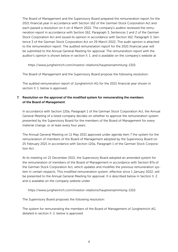The Board of Management and the Supervisory Board prepared the remuneration report for the 2021 financial year in accordance with Section 162 of the German Stock Corporation Act and each passed a resolution on it on 4 March 2022. The company's auditor reviewed the remuneration report in accordance with Section 162, Paragraph 3, Sentences 1 and 2 of the German Stock Corporation Act and issued its opinion in accordance with Section 162, Paragraph 3, Sentence 3 of the German Stock Corporation Act on 29 March 2022. The audit opinion is attached to the remuneration report. The audited remuneration report for the 2021 financial year will be submitted to the Annual General Meeting for approval. The remuneration report with the auditor's opinion is shown below in section II. 1. and is available on the company's website at

https://www.jungheinrich.com/investor-relations/hauptversammlung-1310.

The Board of Management and the Supervisory Board propose the following resolution:

The audited remuneration report of Jungheinrich AG for the 2021 financial year shown in section II. 1. below is approved.

# 7. Resolution on the approval of the modified system for remunerating the members of the Board of Management

In accordance with Section 120a, Paragraph 1 of the German Stock Corporation Act, the Annual General Meeting of a listed company decides on whether to approve the remuneration system presented by the Supervisory Board for the members of the Board of Management for every material change, or at least every four years.

The Annual General Meeting on 11 May 2021 approved under agenda item 7 the system for the remuneration of members of the Board of Management adopted by the Supervisory Board on 25 February 2021 in accordance with Section 120a, Paragraph 1 of the German Stock Corporation Act.

At its meeting on 21 December 2021, the Supervisory Board adopted an amended system for the remuneration of members of the Board of Management in accordance with Section 87a of the German Stock Corporation Act, which updates and modifies the previous remuneration system in certain respects. This modified remuneration system, effective since 1 January 2022, will be presented to the Annual General Meeting for approval. It is described below in Section II. 2. and is available on the company website under

https://www.jungheinrich.com/investor-relations/hauptversammlung-1310.

The Supervisory Board proposes the following resolution:

The system for remunerating the members of the Board of Management of Jungheinrich AG detailed in section II. 2. below is approved.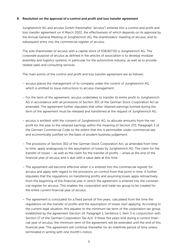#### 8. Resolution on the approval of a control and profit and loss transfer agreement

Jungheinrich AG and arculus GmbH (hereinafter "arculus") entered into a control and profit and loss transfer agreement on 4 March 2022, the effectiveness of which depends on its approval by the Annual General Meeting of Jungheinrich AG, the shareholders' meeting of arculus, and its subsequent entry into the commercial register of arculus.

The sole shareholder of arculus with a capital stock of  $\xi$ 38,827.00 is Jungheinrich AG. The corporate purpose of arculus as defined in the articles of association is to develop modular assembly and logistics systems, in particular for the automotive industry, as well as to provide related sales and consulting services.

The main points of the control and profit and loss transfer agreement are as follows:

- arculus places the management of its company under the control of Jungheinrich AG, which is entitled to issue instructions to arculus management.
- For the term of the agreement, arculus undertakes to transfer its entire profit to Jungheinrich AG in accordance with all provisions of Section 301 of the German Stock Corporation Act as amended. The agreement further stipulates that other retained earnings formed during the term of the agreement must be released and transferred at the request of Jungheinrich AG.
- arculus is entitled, with the consent of Jungheinrich AG, to allocate amounts from the net profit for the year to the retained earnings within the meaning of Section 272, Paragraph 3 of the German Commercial Code to the extent that this is permissible under commercial law and economically justified on the basis of prudent business judgement.
- The provisions of Section 302 of the German Stock Corporation Act, as amended from time to time, apply analogously to the assumption of losses by Jungheinrich AG. The claim for the transfer of losses – as well as the claim for the transfer of profits – arises at the end of the financial year of arculus and is due with a value date at this time.
- The agreement will become effective when it is entered into the commercial register for arculus and apply with regard to the provisions on control from that point in time. It further stipulates that the regulations on transferring profits and assuming losses apply retroactively from the beginning of the financial year in which the agreement is entered into the commercial register for arculus. This enables the corporation and trade tax group to be created for the entire current financial year of arculus.
- The agreement is concluded for a fixed period of five years, calculated from the time the regulations on the transfer of profits and the assumption of losses start applying. According to the current legal situation, this equates to the minimum tax term of the corporation tax group established by the agreement (Section 14, Paragraph 1, Sentence 1, Item 3 in conjunction with Section 17 of the German Corporation Tax Act). If these five years end during a current financial year of arculus, the minimum term of the agreement will be extended until the end of this financial year. The agreement will continue thereafter for an indefinite period of time unless terminated in writing with one month's notice.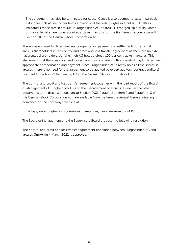– The agreement may also be terminated for cause. Cause is also deemed to exist in particular if Jungheinrich AG no longer holds a majority of the voting rights in arculus, if it sells or introduces the shares in arculus, if Jungheinrich AG or arculus is merged, split or liquidated, or if an external shareholder acquires a stake in arculus for the first time in accordance with Section 307 of the German Stock Corporation Act.

There was no need to determine any compensation payments or settlements for external arculus shareholders in the control and profit and loss transfer agreement as there are no external arculus shareholders; Jungheinrich AG holds a direct, 100 per cent stake in arculus. This also means that there was no need to evaluate the companies with a shareholding to determine appropriate compensation and payment. Since Jungheinrich AG directly holds all the shares in arculus, there is no need for the agreement to be audited by expert auditors (contract auditors) pursuant to Section 293b, Paragraph 1 of the German Stock Corporation Act.

The control and profit and loss transfer agreement, together with the joint report of the Board of Management of Jungheinrich AG and the management of arculus, as well as the other documents to be disclosed pursuant to Section 293f, Paragraph 1, Item 2 and Paragraph 3 of the German Stock Corporation Act, are available from the time the Annual General Meeting is convened on the company's website at

https://www.jungheinrich.com/investor-relations/hauptversammlung-1310.

The Board of Management and the Supervisory Board propose the following resolution:

The control and profit and loss transfer agreement concluded between Jungheinrich AG and arculus GmbH on 4 March 2022 is approved.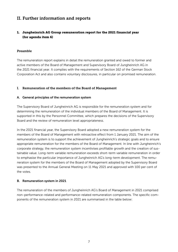# II. Further information and reports

# 1. Jungheinrich AG Group remuneration report for the 2021 financial year (for agenda item 6)

#### Preamble

The remuneration report explains in detail the remuneration granted and owed to former and active members of the Board of Management and Supervisory Board of Jungheinrich AG in the 2021 financial year. It complies with the requirements of Section 162 of the German Stock Corporation Act and also contains voluntary disclosures, in particular on promised remuneration.

## I. Remuneration of the members of the Board of Management

## A. General principles of the remuneration system

The Supervisory Board of Jungheinrich AG is responsible for the remuneration system and for determining the remuneration of the individual members of the Board of Management. It is supported in this by the Personnel Committee, which prepares the decisions of the Supervisory Board and the review of remuneration level appropriateness.

In the 2021 financial year, the Supervisory Board adopted a new remuneration system for the members of the Board of Management with retroactive effect from 1 January 2021. The aim of the remuneration system is to support the achievement of Jungheinrich's strategic goals and to ensure appropriate remuneration for the members of the Board of Management. In line with Jungheinrich's corporate strategy, the remuneration system incentivises profitable growth and the creation of sustainable value. Long-term variable remuneration exceeds short-term variable remuneration in order to emphasise the particular importance of Jungheinrich AG's long-term development. The remuneration system for the members of the Board of Management adopted by the Supervisory Board was presented to the Annual General Meeting on 11 May 2021 and approved with 100 per cent of the votes.

#### B. Remuneration system in 2021

The remuneration of the members of Jungheinrich AG's Board of Management in 2021 comprised non-performance-related and performance-related remuneration components. The specific components of the remuneration system in 2021 are summarised in the table below: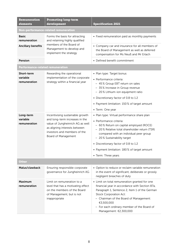| Remuneration<br>elements               | <b>Promoting long-term</b><br>development                                                                                                                                                      | <b>Specification 2021</b>                                                                                                                                                                                                                                                                                                                                 |
|----------------------------------------|------------------------------------------------------------------------------------------------------------------------------------------------------------------------------------------------|-----------------------------------------------------------------------------------------------------------------------------------------------------------------------------------------------------------------------------------------------------------------------------------------------------------------------------------------------------------|
|                                        | Non-performance-related remuneration                                                                                                                                                           |                                                                                                                                                                                                                                                                                                                                                           |
| <b>Basic</b><br>remuneration           | Forms the basis for attracting<br>and retaining highly qualified                                                                                                                               | • Fixed remuneration paid as monthly payments                                                                                                                                                                                                                                                                                                             |
| <b>Ancillary benefits</b>              | members of the Board of<br>Management to develop and<br>implement the strategy                                                                                                                 | • Company car and insurance for all members of<br>the Board of Management as well as deferred<br>compensation for Ms Neuß and Mr Erlach                                                                                                                                                                                                                   |
| Pension                                |                                                                                                                                                                                                | • Defined benefit commitment                                                                                                                                                                                                                                                                                                                              |
| Performance-related remuneration       |                                                                                                                                                                                                |                                                                                                                                                                                                                                                                                                                                                           |
| Short-term<br>variable<br>remuneration | Rewarding the operational<br>implementation of the corporate<br>strategy within a financial year                                                                                               | • Plan type: Target bonus<br>• Performance criteria:<br>- 45% Group EBT return on sales<br>- 35% Increase in Group revenue<br>- 20% Lithium-ion equipment ratio<br>• Discretionary factor of 0.8 to 1.2                                                                                                                                                   |
|                                        |                                                                                                                                                                                                | • Payment limitation: 150 % of target amount                                                                                                                                                                                                                                                                                                              |
|                                        |                                                                                                                                                                                                | • Term: One year                                                                                                                                                                                                                                                                                                                                          |
| Long-term<br>variable<br>remuneration  | Incentivising sustainable growth<br>and long-term increases in the<br>value of Jungheinrich AG as well<br>as aligning interests between<br>investors and members of the<br>Board of Management | • Plan type: Virtual performance share plan<br>· Performance criteria:<br>- 60% Return on capital employed (ROCE)<br>- 20% Relative total shareholder return (TSR)<br>compared with an individual peer group<br>- 20% Sustainability target<br>• Discretionary factor of 0.8 to 1.2<br>• Payment limitation: 180% of target amount<br>• Term: Three years |
| Other                                  |                                                                                                                                                                                                |                                                                                                                                                                                                                                                                                                                                                           |
| Malus/clawback                         | Ensuring responsible corporate<br>governance for Jungheinrich AG                                                                                                                               | • Option to reduce or reclaim variable remuneration<br>in the event of significant, deliberate or grossly<br>negligent breaches of duty                                                                                                                                                                                                                   |
| <b>Maximum</b><br>remuneration         | Limit on remuneration to a<br>level that has a motivating effect<br>on the members of the Board<br>of Management, but is not<br>inappropriate                                                  | • Limit on total remuneration granted for one<br>financial year in accordance with Section 87a,<br>Paragraph 1, Sentence 2, Item 1 of the German<br><b>Stock Corporation Act:</b><br>- Chairman of the Board of Management:<br>€3,500,000<br>- For each ordinary member of the Board of<br>Management: €2,300,000                                         |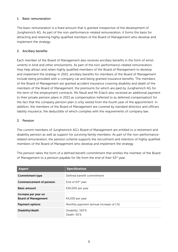#### 1. Basic remuneration

The basic remuneration is a fixed amount that is granted irrespective of the development of Jungheinrich AG. As part of the non-performance-related remuneration, it forms the basis for attracting and retaining highly qualified members of the Board of Management who develop and implement the strategy.

## 2. Ancillary benefits

Each member of the Board of Management also receives ancillary benefits in the form of emoluments in kind and other emoluments. As part of the non-performance-related remuneration, they help attract and retain highly qualified members of the Board of Management to develop and implement the strategy In 2021, ancillary benefits for members of the Board of Management include being provided with a company car and being granted insurance benefits. The members of the Board of Management are granted accident insurance covering disability and death of the members of the Board of Management, the premiums for which are paid by Jungheinrich AG for the term of the employment contracts. Ms Neuß and Mr Erlach also received an additional payment to their private pension plans in 2021 as compensation (referred to as deferred compensation) for the fact that the company pension plan is only vested from the fourth year of the appointment. In addition, the members of the Board of Management are covered by standard directors and officers liability insurance, the deductible of which complies with the requirements of company law.

## 3. Pension

The current members of Jungheinrich AG's Board of Management are entitled to a retirement and disability pension as well as support for surviving family members. As part of the non-performancerelated remuneration, the pension scheme supports the recruitment and retention of highly qualified members of the Board of Management who develop and implement the strategy.

The pension takes the form of a defined benefit commitment that entitles the member of the Board of Management to a pension payable for life from the end of their  $63^{rd}$  year.

| <b>Aspect</b>                                      | <b>Specification</b>                    |
|----------------------------------------------------|-----------------------------------------|
| <b>Commitment type</b>                             | Defined benefit commitment              |
| <b>Commencement of pension</b>                     | End of 63rd year                        |
| <b>Basic amount</b>                                | €30,000 per year                        |
| Increase per year on<br><b>Board of Management</b> | €4,200 per year                         |
| <b>Payment options</b>                             | Monthly payment (annual increase of 1%) |
| Disability/death                                   | Disability: 100 %<br>Death: 50 %        |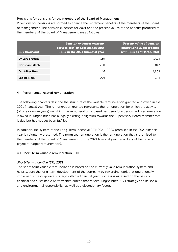## Provisions for pensions for the members of the Board of Management

Provisions for pensions are formed to finance the retirement benefits of the members of the Board of Management. The pension expenses for 2021 and the present values of the benefits promised to the members of the Board of Management are as follows:

| in $\epsilon$ thousand  | <b>Pension expenses (current</b><br>service cost) in accordance with<br>IFRS in the 2021 financial year | <b>Present value of pension</b><br>obligations in accordance<br>with IFRS as at 31/12/2021 |
|-------------------------|---------------------------------------------------------------------------------------------------------|--------------------------------------------------------------------------------------------|
| Dr Lars Brzoska         | 139                                                                                                     | 1.014                                                                                      |
| <b>Christian Erlach</b> | 260                                                                                                     | 843                                                                                        |
| Dr Volker Hues          | 146                                                                                                     | 1.809                                                                                      |
| <b>Sabine Neuß</b>      | 201                                                                                                     | 384                                                                                        |

## 4. Performance-related remuneration

The following chapters describe the structure of the variable remuneration granted and owed in the 2021 financial year. The remuneration granted represents the remuneration for which the activity (of one or more years) on which the remuneration is based has been fully performed. Remuneration is owed if Jungheinrich has a legally existing obligation towards the Supervisory Board member that is due but has not yet been fulfilled.

In addition, the system of the Long-Term Incentive (LTI) 2021–2023 promised in the 2021 financial year is voluntarily presented. The promised remuneration is the remuneration that is promised to the members of the Board of Management for the 2021 financial year, regardless of the time of payment (target remuneration).

# 4.1 Short-term variable remuneration (STI)

# Short-Term Incentive (STI) 2021

The short-term variable remuneration is based on the currently valid remuneration system and helps secure the long-term development of the company by rewarding work that operationally implements the corporate strategy within a financial year: Success is assessed on the basis of financial and sustainable performance criteria that reflect Jungheinrich AG's strategy and its social and environmental responsibility, as well as a discretionary factor.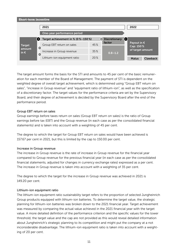|                             | <b>Short-term incentive</b> |                           |                                     |     |                      |                  |                                   |                 |
|-----------------------------|-----------------------------|---------------------------|-------------------------------------|-----|----------------------|------------------|-----------------------------------|-----------------|
|                             |                             |                           | 2021                                |     |                      |                  | 2022                              |                 |
|                             |                             |                           | One-year performance period         |     |                      |                  |                                   |                 |
|                             |                             | ( x )                     | Target achievement in % (0 %-150 %) |     | <b>Discretionary</b> | (E)              |                                   |                 |
|                             | <b>Target</b>               |                           | Group EBT return on sales           | 45% | factor               |                  | Payout in $\epsilon$<br>Cap: 150% |                 |
| amount<br>$\mathsf{in} \in$ | Θ<br>O                      | Increase in Group revenue | 35%                                 |     | $0.8 - 1.2$          | of target amount |                                   |                 |
|                             |                             |                           | Lithium-ion equipment ratio         | 20% |                      |                  | <b>Malus</b>                      | <b>Clawback</b> |

The target amount forms the basis for the STI and amounts to 45 per cent of the basic remuneration for each member of the Board of Management. The payment of STI is dependent on the weighted degree of overall target achievement, which is determined using "Group EBT return on sales", "increase in Group revenue" and "equipment ratio of lithium-ion", as well as the specification of a discretionary factor. The target values for the performance criteria are set by the Supervisory Board, and their degree of achievement is decided by the Supervisory Board after the end of the performance period.

## Group EBT return on sales

Group earnings before taxes return on sales (Group EBT return on sales) is the ratio of Group earnings before tax (EBT) and the Group revenue (in each case as per the consolidated financial statements) and is taken into account with a weighting of 45 per cent.

The degree to which the target for Group EBT return on sales would have been achieved is 157.67 per cent in 2021, but this is limited by the cap to 150.00 per cent.

# Increase in Group revenue

The increase in Group revenue is the rate of increase in Group revenue for the financial year compared to Group revenue for the previous financial year (in each case as per the consolidated financial statements, adjusted for changes in currency exchange rates) expressed as a per cent. The increase in Group revenue is taken into account with a weighting of 35 per cent.

The degree to which the target for the increase in Group revenue was achieved in 2021 is 149.20 per cent.

#### Lithium-ion equipment ratio

The lithium-ion equipment ratio sustainability target refers to the proportion of selected Jungheinrich Group products equipped with lithium-ion batteries. To determine the target value, the strategic planning for lithium-ion batteries was broken down to the 2021 financial year. Target achievement was measured by comparing the actual value achieved in the 2021 financial year with the target value. A more detailed definition of the performance criterion and the specific values for the lower threshold, the target value and the cap are not provided as this would reveal detailed information about Jungheinrich's strategic planning to its competition and might put the company at a not inconsiderable disadvantage. The lithium-ion equipment ratio is taken into account with a weighting of 20 per cent.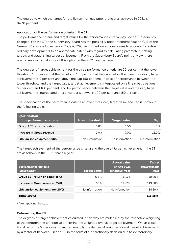The degree to which the target for the lithium-ion equipment ratio was achieved in 2021 is 84.30 per cent.

#### Application of the performance criteria in the STI

The performance criteria and target values for the performance criteria may not be subsequently changed. For the STI, the Supervisory Board has the possibility under recommendation G.11 of the German Corporate Governance Code (GCGC) in justified exceptional cases to account for extraordinary developments to an appropriate extent with regard to calculating parameters, setting targets and establishing target achievement. From the Supervisory Board's point of view, there was no reason to make use of this option in the 2021 financial year.

The degrees of target achievement for the three performance criteria are 50 per cent at the lower threshold, 100 per cent at the target and 150 per cent at the cap. Below the lower threshold, target achievement is 0 per cent and above the cap 150 per cent. In case of performance between the lower threshold and the target value, target achievement is interpolated on a linear basis between 50 per cent and 100 per cent, and for performance between the target value and the cap, target achievement is interpolated on a linear basis between 100 per cent and 150 per cent.

The specification of the performance criteria at lower threshold, target value and cap is shown in the following table:

| <b>Specification</b><br>of the performance criteria | <b>Lower threshold</b> | <b>Target value</b> | $\mathbf{Cap}$ |
|-----------------------------------------------------|------------------------|---------------------|----------------|
| Group EBT return on sales                           | $5.0\%$                | 6.5%                | 8.0%           |
| Increase in Group revenue                           | 20%                    | 70%                 | $12.0\%$       |
| Lithium-ion equipment ratio                         | No information         | No information      | No information |

The target achievement of the performance criteria and the overall target achievement in the STI are as follows in the 2021 financial year:

| <b>Performance criteria</b><br>(weighting) | <b>Target value</b> | <b>Actual value</b><br>in the 2021<br>financial year | <b>Target</b><br>achievement  <br>2021 |
|--------------------------------------------|---------------------|------------------------------------------------------|----------------------------------------|
| Group EBT return on sales (45%)            | 6.5%                | 8.23%                                                | 150.00%                                |
| Increase in Group revenue (35%)            | 7.0%                | 11.92%                                               | 149.20%                                |
| Lithium-ion equipment rate (20%)           | No information      | No information                                       | 84.30%                                 |
| Total (100%)                               |                     |                                                      | 136.58%                                |

<sup>1</sup> After applying the cap.

#### Determining the STI

The degrees of target achievement calculated in this way are multiplied by the respective weighting of the performance criterion to determine the weighted overall target achievement. On an exceptional basis, the Supervisory Board can multiply the degree of weighted overall target achievement by a factor of between 0.8 and 1.2 in the form of a discretionary decision due to extraordinary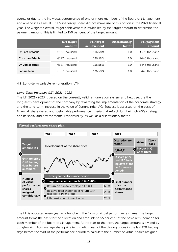events or due to the individual performance of one or more members of the Board of Management and amend it as a result. The Supervisory Board did not make use of this option in the 2021 financial year. The weighted overall target achievement is multiplied by the target amount to determine the payment amount. This is limited to 150 per cent of the target amount.

|                         | <b>STI</b> target<br>amount | <b>STI target</b><br>achievement | <b>Discretionary</b><br>factor | <b>STI</b> payment<br>amount |
|-------------------------|-----------------------------|----------------------------------|--------------------------------|------------------------------|
| Dr Lars Brzoska         | €567 thousand               | 136.58%                          | 1.0                            | $\epsilon$ 775 thousand      |
| <b>Christian Erlach</b> | €327 thousand               | 136.58%                          | 1.0                            | €446 thousand                |
| Dr Volker Hues          | $\epsilon$ 327 thousand     | 136.58%                          | 1.0                            | €446 thousand                |
| <b>Sabine Neuß</b>      | €327 thousand               | 136.58%                          | 1.0                            | $€446$ thousand              |

# 4.2 Long-term variable remuneration (LTI)

## Long-Term Incentive (LTI) 2021–2023

The LTI 2021–2023 is based on the currently valid remuneration system and helps secure the long-term development of the company by rewarding the implementation of the corporate strategy and the long-term increase in the value of Jungheinrich AG: Success is assessed on the basis of financial, share-based and sustainable performance criteria that reflect Jungheinrich AG's strategy and its social and environmental responsibility, as well as a discretionary factor.



The LTI is allocated every year as a tranche in the form of virtual performance shares. The target amount forms the basis for the allocation and amounts to 55 per cent of the basic remuneration for each member of the Board of Management. At the start of the term, the target amount is divided by Jungheinrich AG's average share price (arithmetic mean of the closing prices in the last 120 trading days before the start of the performance period) to calculate the number of virtual shares assigned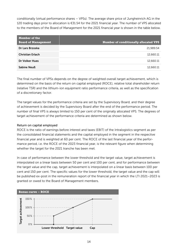conditionally (virtual performance shares – VPSs). The average share price of Jungheinrich AG in the 120 trading days prior to allocation is €31.54 for the 2021 financial year. The number of VPS allocated to the members of the Board of Management for the 2021 financial year is shown in the table below.

| Member of the<br><b>Board of Management</b> | <b>Number of conditionally allocated VPS</b> |
|---------------------------------------------|----------------------------------------------|
| Dr Lars Brzoska                             | 21,989.54                                    |
| <b>Christian Erlach</b>                     | 12,660.11                                    |
| Dr Volker Hues                              | 12,660.11                                    |
| <b>Sabine Neuß</b>                          | 12.660.11                                    |

The final number of VPSs depends on the degree of weighted overall target achievement, which is determined on the basis of the return on capital employed (ROCE), relative total shareholder return (relative TSR) and the lithium-ion equipment ratio performance criteria, as well as the specification of a discretionary factor.

The target values for the performance criteria are set by the Supervisory Board, and their degree of achievement is decided by the Supervisory Board after the end of the performance period. The number of final VPS is always limited to 150 per cent of the originally allocated VPS. The degrees of target achievement of the performance criteria are determined as shown below.

#### Return on capital employed

ROCE is the ratio of earnings before interest and taxes (EBIT) of the Intralogistics segment as per the consolidated financial statements and the capital employed in the segment in the respective financial year and is weighted at 60 per cent. The ROCE of the last financial year of the performance period, i.e. the ROCE of the 2023 financial year, is the relevant figure when determining whether the target for the 2021 tranche has been met.

In case of performance between the lower threshold and the target value, target achievement is interpolated on a linear basis between 50 per cent and 100 per cent, and for performance between the target value and the cap, target achievement is interpolated on a linear basis between 100 per cent and 150 per cent. The specific values for the lower threshold, the target value and the cap will be published ex-post in the remuneration report of the financial year in which the LTI 2021–2023 is granted or owed to the Board of Management members.

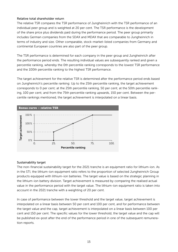#### Relative total shareholder return

The relative TSR compares the TSR performance of Jungheinrich with the TSR performance of an individual peer group and is weighted at 20 per cent. The TSR performance is the development of the share price plus dividends paid during the performance period. The peer group primarily includes German companies from the SDAX and MDAX that are comparable to Jungheinrich in terms of industry and size. Other comparable, stock-market-listed companies from Germany and continental European countries are also part of the peer group.

The TSR performance is determined for each company in the peer group and Jungheinrich after the performance period ends. The resulting individual values are subsequently ranked and given a percentile ranking, whereby the 0th percentile ranking corresponds to the lowest TSR performance and the 100th percentile ranking to the highest TSR performance.

The target achievement for the relative TSR is determined after the performance period ends based on Jungheinrich's percentile ranking: Up to the 25th percentile ranking, the target achievement corresponds to 0 per cent; at the 25th percentile ranking, 50 per cent; at the 50th percentile ranking, 100 per cent; and from the 75th percentile ranking upwards, 150 per cent. Between the percentile rankings mentioned, the target achievement is interpolated on a linear basis.



#### Sustainability target

The non-financial sustainability target for the 2021 tranche is an equipment ratio for lithium-ion. As in the STI, the lithium-ion equipment ratio refers to the proportion of selected Jungheinrich Group products equipped with lithium-ion batteries. The target value is based on the strategic planning in the lithium-ion battery division. Target achievement is measured by comparing the realised actual value in the performance period with the target value. The lithium-ion equipment ratio is taken into account in the 2021 tranche with a weighting of 20 per cent.

In case of performance between the lower threshold and the target value, target achievement is interpolated on a linear basis between 50 per cent and 100 per cent, and for performance between the target value and the cap, target achievement is interpolated on a linear basis between 100 per cent and 150 per cent. The specific values for the lower threshold, the target value and the cap will be published ex-post after the end of the performance period in one of the subsequent remuneration reports.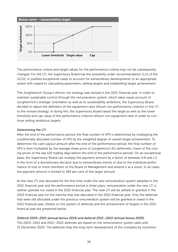

The performance criteria and target values for the performance criteria may not be subsequently changed. For the LTI, the Supervisory Board has the possibility under recommendation G.11 of the GCGC in justified exceptional cases to account for extraordinary developments to an appropriate extent with regard to calculating parameters, setting targets and establishing target achievement.

The Jungheinrich Group's lithium-ion strategy was revised in the 2021 financial year. In order to maintain sustainable control through the remuneration system, which takes equal account of Jungheinrich's strategic orientation as well as its sustainability ambitions, the Supervisory Board decided to adjust the definition of the equipment ratio lithium-ion performance criterion in the LTI to the revised strategy. In doing this, the Supervisory Board raised the target as well as the lower threshold and cap value of the performance criterion lithium-ion equipment ratio in order to continue setting ambitious targets.

#### Determining the LTI

After the end of the performance period, the final number of VPS is determined by multiplying the conditionally allocated number of VPS by the weighted degree of overall target achievement. To determine the cash payout amount after the end of the performance period, the final number of VPS is then multiplied by the average share price of Jungheinrich AG (arithmetic mean of the closing prices of the last 120 trading days before the end of the performance period). On an exceptional basis, the Supervisory Board can multiply the payment amount by a factor of between 0.8 and 1.2 in the form of a discretionary decision due to extraordinary events or due to the individual performance of one or more members of the Board of Management and amend it as a result. In all cases, the payment amount is limited to 180 per cent of the target amount.

As the new LTI was allocated for the first time under the new remuneration system adopted in the 2021 financial year and the performance period is three years, remuneration under the new LTI is neither granted nor owed in the 2021 financial year. The new LTI will be settled or granted in the 2023 financial year for the tranche that was allocated in the 2021 financial year. Only the deferrals that were still allocated under the previous remuneration system will be granted or owed in the 2021 financial year. Details on the system of deferrals and the achievement of targets in the 2021 financial year are presented below.

# Deferral 2020–2021 (annual bonus 2019) and deferral 2021–2022 (annual bonus 2020)

The 2020–2021 and 2021–2022 deferrals are based on the remuneration system valid until 31 December 2020. The deferrals help the long-term development of the company by incentivis-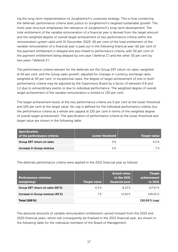ing the long-term implementation of Jungheinrich's corporate strategy: This is how combining the deferrals' performance criteria does justice to Jungheinrich's targeted sustainable growth. The multi-year structure emphasises the relevance of Jungheinrich's long-term development. The total entitlement of the variable remuneration of a financial year is derived from the target amount and the weighted degree of overall target achievement of two performance criteria within the remuneration system valid until 31 December 2020. 40 per cent of the total entitlement of the variable remuneration of a financial year is paid out in the following financial year. 60 per cent of the payment entitlement is delayed and also linked to performance criteria, with 30 per cent of the payment entitlement being delayed by one year ("deferral 1") and the other 30 per cent by two years ("deferral 2").

The performance criteria relevant for the deferrals are the Group EBT return on sales, weighted at 60 per cent, and the Group sales growth, adjusted for changes in currency exchange rates, weighted at 40 per cent. In exceptional cases, the degree of target achievement of one or both performance criteria may be adjusted by the Supervisory Board by a factor of between 0.8 and 1.2 due to extraordinary events or due to individual performance. The weighted degree of overall target achievement of the variable remuneration is limited to 130 per cent.

The target achievement levels of the two performance criteria are 0 per cent at the lower threshold and 100 per cent at the target value. No cap is defined for the individual performance criteria, but the performance criteria as a whole are capped at 130 per cent in terms of the weighted degree of overall target achievement. The specification of performance criteria at the lower threshold and target value are shown in the following table:

| <b>Specification</b><br>of the performance criteria | <b>Lower threshold</b> | <b>Target value</b> |
|-----------------------------------------------------|------------------------|---------------------|
| Group EBT return on sales                           | $0\%$                  | 6.5%                |
| Increase in Group revenue                           | $0\%$                  | 7%                  |

The deferrals performance criteria were applied in the 2021 financial year as follows:

| <b>Performance criterion</b><br>(weighting) | <b>Target value</b> | <b>Actual value</b><br>$\ln$ the 2021<br>financial year | <b>Target</b><br>achievement<br>in 2021 |
|---------------------------------------------|---------------------|---------------------------------------------------------|-----------------------------------------|
| Group EBT return on sales (60 %)            | 6.5%                | 8.23%                                                   | 157.67%                                 |
| Increase in Group revenue (40 %)            | 7%                  | 11.92%                                                  | 149 20 %                                |
| Total (100 %)                               |                     |                                                         | 130.00 % (cap)                          |

The absolute amounts of variable remuneration entitlement carried forward from the 2019 and 2020 financial years, which will consequently be finalised in the 2021 financial year, are shown in the following table for the individual members of the Board of Management.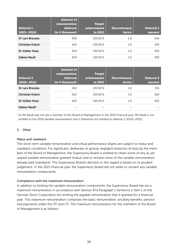| Deferral 1<br>$(2021 - 2022)$ | <b>Amount of</b><br>remuneration<br>deferred<br>(in $\epsilon$ thousand) | <b>Target</b><br>achievement<br>in 2021 | <b>Discretionary</b><br>factor | Deferral 1<br>amount |
|-------------------------------|--------------------------------------------------------------------------|-----------------------------------------|--------------------------------|----------------------|
| Dr Lars Brzoska               | 405                                                                      | 130.00%                                 | 1.0                            | 526                  |
| <b>Christian Erlach</b>       | 254                                                                      | 130.00%                                 | 1.0                            | 330                  |
| Dr Volker Hues                | 254                                                                      | 130.00%                                 | 1.0                            | 330                  |
| <b>Sabine Neuß</b>            | 254                                                                      | 130.00%                                 | 1.0                            | 330                  |

| Deferral 2<br>$(2020 - 2021)$ | <b>Amount of</b><br>remuneration<br>deferred<br>(in $\epsilon$ thousand) | <b>Target</b><br>achievement<br>in 2021 | <b>Discretionary</b><br>factor | <b>Deferral 2</b><br>amount |
|-------------------------------|--------------------------------------------------------------------------|-----------------------------------------|--------------------------------|-----------------------------|
| Dr Lars Brzoska               | 242                                                                      | 130.00%                                 | 1.0                            | 315                         |
| <b>Christian Erlach</b>       | 202                                                                      | 130.00%                                 | 1.0                            | 263                         |
| Dr Volker Hues                | 202                                                                      | 130.00%                                 | 1.0                            | 263                         |
| Sabine Neuß <sup>1</sup>      |                                                                          |                                         |                                |                             |

 $1$  As Ms Neuß was not yet a member of the Board of Management in the 2019 financial year, Ms Neuß is not entitled to the 2019 variable remuneration and is therefore not entitled to deferral 2 (2020–2021).

#### 5. Other

#### Malus and clawback

The short-term variable remuneration and virtual performance shares are subject to malus and clawback conditions. For significant, deliberate or grossly negligent breaches of duty by the members of the Board of Management, the Supervisory Board is entitled to retain some of any as yet unpaid variable remuneration granted (malus) and to reclaim some of the variable remuneration already paid (clawback). The Supervisory Board's decision in this regard is based on its prudent judgement. In the 2021 financial year, the Supervisory Board did not retain or reclaim any variable remuneration components.

#### Compliance with the maximum remuneration

In addition to limiting the variable remuneration components, the Supervisory Board has set a maximum remuneration in accordance with Section 87a Paragraph 1 Sentence 2 Item 1 of the German Stock Corporation Act limiting the payable remuneration that is granted for a financial year. This maximum remuneration comprises the basic remuneration, ancillary benefits, pension and payments under the STI and LTI. The maximum remuneration for the members of the Board of Management is as follows: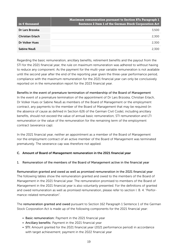| in $\bm{\epsilon}$ thousand | Maximum remuneration pursuant to Section 87a Paragraph 1<br>Sentence 2 Item 1 of the German Stock Corporation Act |
|-----------------------------|-------------------------------------------------------------------------------------------------------------------|
| Dr Lars Brzoska             | 3,500                                                                                                             |
| <b>Christian Erlach</b>     | 2,300                                                                                                             |
| Dr Volker Hues              | 2,300                                                                                                             |
| <b>Sabine Neuß</b>          | 2.300                                                                                                             |

Regarding the basic remuneration, ancillary benefits, retirement benefits and the payout from the STI for the 2021 financial year, the rule on maximum remuneration was adhered to without having to reduce any component. As the payment for the multi-year variable remuneration is not available until the second year after the end of the reporting year given the three-year performance period, compliance with the maximum remuneration for the 2021 financial year can only be conclusively reported on in the remuneration report for the 2023 financial year.

#### Benefits in the event of premature termination of membership of the Board of Management

In the event of a premature termination of the appointment of Dr Lars Brzoska, Christian Erlach, Dr Volker Hues or Sabine Neuß as members of the Board of Management or the employment contract, any payments to the member of the Board of Management that may be required (in the absence of cause as defined in Section 626 of the German Civil Code), including ancillary benefits, should not exceed the value of annual basic remuneration, STI remuneration and LTI remuneration or the value of the remuneration for the remaining term of the employment contract (severance cap).

In the 2021 financial year, neither an appointment as a member of the Board of Management nor the employment contract of an active member of the Board of Management was terminated prematurely. The severance cap was therefore not applied.

# C. Amount of Board of Management remuneration in the 2021 financial year

#### 1. Remuneration of the members of the Board of Management active in the financial year

Remuneration granted and owed as well as promised remuneration in the 2021 financial year The following tables show the remuneration granted and owed to the members of the Board of Management in the 2021 financial year. The remuneration promised to members of the Board of Management in the 2021 financial year is also voluntarily presented. For the definitions of granted and owed remuneration as well as promised remuneration, please refer to section I. B. 4. "Performance-related remuneration".

The remuneration granted and owed pursuant to Section 162 Paragraph 1 Sentence 1 of the German Stock Corporation Act is made up of the following components for the 2021 financial year:

- Basic remuneration: Payment in the 2021 financial year
- Ancillary benefits: Payment in the 2021 financial year
- STI: Amount granted for the 2021 financial year (2021 performance period) in accordance with target achievement; payment in the 2022 financial year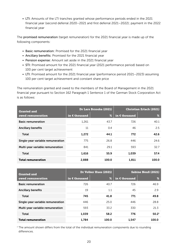• LTI: Amounts of the LTI tranches granted whose performance periods ended in the 2021 financial year (second deferral 2020–2021 and first deferral 2021–2022); payment in the 2022 financial year

The promised remuneration (target remuneration) for the 2021 financial year is made up of the following components:

- Basic remuneration: Promised for the 2021 financial year
- Ancillary benefits: Promised for the 2021 financial year
- Pension expense: Amount set aside in the 2021 financial year
- STI: Promised amount for the 2021 financial year (2021 performance period) based on 100 per cent target achievement
- LTI: Promised amount for the 2021 financial year (performance period 2021–2023) assuming 100 per cent target achievement and constant share price

The remuneration granted and owed to the members of the Board of Management in the 2021 financial year pursuant to Section 162 Paragraph 1 Sentence 1 of the German Stock Corporation Act is as follows:

| <b>Granted and</b>                |                        | Dr Lars Brzoska (2021) |                        | <b>Christian Erlach (2021)</b> |
|-----------------------------------|------------------------|------------------------|------------------------|--------------------------------|
| owed remuneration                 | in $\epsilon$ thousand | $\frac{9}{6}$          | in $\epsilon$ thousand | $\%$                           |
| <b>Basic remuneration</b>         | 1.261                  | 43.7                   | 726                    | 40.1                           |
| <b>Ancillary benefits</b>         | 11                     | 0.4                    | 46                     | 2.5                            |
| Total                             | 1,272                  | 44.1                   | 772                    | 42.6                           |
| Single-year variable remuneration | 775                    | 26.8                   | 446                    | 24.6                           |
| Multi-year variable remuneration  | 841                    | 29.1                   | 593                    | 32.7                           |
| <b>Total</b>                      | 1,616                  | 55.9                   | 1.039                  | 57.4                           |
| <b>Total remuneration</b>         | 2,888                  | 100.0                  | 1,811                  | 100.0                          |

| <b>Granted and</b>                |                        | Dr Volker Hues (2021) | <b>Sabine Neuß (2021)</b> |                   |
|-----------------------------------|------------------------|-----------------------|---------------------------|-------------------|
| owed remuneration                 | in $\epsilon$ thousand | $\frac{9}{6}$         | in € thousand             | %                 |
| <b>Basic remuneration</b>         | 726                    | 40.7                  | 726                       | 46.9              |
| <b>Ancillary benefits</b>         | 19                     | 1.1                   | 45                        | 2.9               |
| Total                             | 745                    | 41.8                  | 771                       | 49.8              |
| Single-year variable remuneration | 446                    | 25.0                  | 446                       | 28.8              |
| Multi-year variable remuneration  | 593                    | 33.2                  | 330                       | 21.3              |
| <b>Total</b>                      | 1,039                  | 58.2                  | 776                       | 50.2 <sup>1</sup> |
| <b>Total remuneration</b>         | 1,784                  | 100.0                 | 1,547                     | 100.0             |

<sup>1</sup> The amount shown differs from the total of the individual remuneration components due to rounding differences.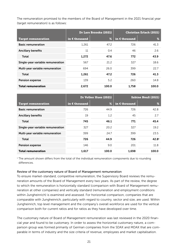The remuneration promised to the members of the Board of Management in the 2021 financial year (target remuneration) is as follows:

|                                   |               | Dr Lars Brzoska (2021) | <b>Christian Erlach (2021)</b> |               |
|-----------------------------------|---------------|------------------------|--------------------------------|---------------|
| <b>Target remuneration</b>        | in € thousand | %                      | in $\epsilon$ thousand         | $\frac{9}{6}$ |
| <b>Basic remuneration</b>         | 1.261         | 47.2                   | 726                            | 41.3          |
| <b>Ancillary benefits</b>         | 11            | 0.4                    | 46                             | 2.6           |
| Total                             | 1,272         | 47.6                   | 772                            | 43.9          |
| Single-year variable remuneration | 567           | 21.2                   | 327                            | 18.6          |
| Multi-year variable remuneration  | 694           | 26.0                   | 399                            | 22.7          |
| Total                             | 1,261         | 47.2                   | 726                            | 41.3          |
| <b>Pension expense</b>            | 139           | 5.2                    | 260                            | 14.8          |
| <b>Total remuneration</b>         | 2,672         | 100.0                  | 1,758                          | 100.0         |

|                                   |                        | Dr Volker Hues (2021) | <b>Sabine Neuß (2021)</b> |                   |  |
|-----------------------------------|------------------------|-----------------------|---------------------------|-------------------|--|
| <b>Target remuneration</b>        | in $\epsilon$ thousand | $\%$                  | in € thousand             | $\%$              |  |
| <b>Basic remuneration</b>         | 726                    | 44.9                  | 726                       | 42.8              |  |
| <b>Ancillary benefits</b>         | 19                     | 1.2                   | 45                        | 2.7               |  |
| Total                             | 745                    | 46.1                  | 771                       | 45.4              |  |
| Single-year variable remuneration | 327                    | 20.2                  | 327                       | 19.2              |  |
| Multi-year variable remuneration  | 399                    | 24.7                  | 399                       | 23.5              |  |
| Total                             | 726                    | 44.9                  | 726                       | 42.8 <sup>1</sup> |  |
| <b>Pension expense</b>            | 146                    | 9.0                   | 201                       | 11.8              |  |
| <b>Total remuneration</b>         | 1,617                  | 100.0                 | 1,698                     | 100.0             |  |

<sup>1</sup> The amount shown differs from the total of the individual remuneration components due to rounding differences.

#### Review of the customary nature of Board of Management remuneration

To ensure market-standard, competitive remuneration, the Supervisory Board reviews the remuneration amounts of the Board of Management every two years. As part of the review, the degree to which the remuneration is horizontally standard (comparison with Board of Management remuneration at other companies) and vertically standard (remuneration and employment conditions within Jungheinrich) is examined and assessed. For horizontal comparison, companies that are comparable with Jungheinrich, particularly with regard to country, sector and size, are used. Within Jungheinrich, top level management and the company's overall workforce are used for the vertical comparison both for current ratios and for ratios as they have developed over time.

The customary nature of Board of Management remuneration was last reviewed in the 2020 financial year and found to be customary. In order to assess the horizontal customary nature, a comparison group was formed primarily of German companies from the SDAX and MDAX that are comparable in terms of industry and the size criteria of revenue, employees and market capitalisation.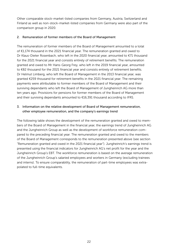Other comparable stock-market-listed companies from Germany, Austria, Switzerland and Finland as well as non-stock-market-listed companies from Germany were also part of the comparison group in 2020.

## 2. Remuneration of former members of the Board of Management

The remuneration of former members of the Board of Management amounted to a total of €1,174 thousand in the 2021 financial year. The remuneration granted and owed to Dr Klaus-Dieter Rosenbach, who left in the 2020 financial year, amounted to €71 thousand for the 2021 financial year and consists entirely of retirement benefits. The remuneration granted and owed to Mr Hans-Georg Frey, who left in the 2019 financial year, amounted to €82 thousand for the 2021 financial year and consists entirely of retirement benefits. Dr Helmut Limberg, who left the Board of Management in the 2013 financial year, was granted €259 thousand for retirement benefits in the 2021 financial year. The remaining payments were attributable to former members of the Board of Management and their surviving dependants who left the Board of Management of Jungheinrich AG more than ten years ago. Provisions for pensions for former members of the Board of Management and their surviving dependants amounted to €16,391 thousand according to IFRS.

# 3. Information on the relative development of Board of Management remuneration, other employee remuneration, and the company's earnings trend

The following table shows the development of the remuneration granted and owed to members of the Board of Management in the financial year, the earnings trend of Jungheinrich AG and the Jungheinrich Group as well as the development of workforce remuneration compared to the preceding financial year. The remuneration granted and owed to the members of the Board of Management corresponds to the remuneration presented above (see section "Remuneration granted and owed in the 2021 financial year"). Jungheinrich's earnings trend is presented using the financial indicators for Jungheinrich AG's net profit for the year and the Jungheinrich Group's EBT. The workforce remuneration is based on the average remuneration of the Jungheinrich Group's salaried employees and workers in Germany (excluding trainees and interns). To ensure comparability, the remuneration of part-time employees was extrapolated to full-time equivalents.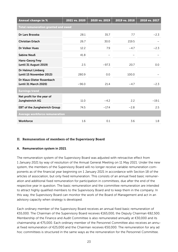| <b>Annual change in %</b>                          | 2021 vs. 2020                       | 2020 vs. 2019 | 2019 vs. 2018 | 2018 vs. 2017 |  |  |  |
|----------------------------------------------------|-------------------------------------|---------------|---------------|---------------|--|--|--|
|                                                    | Total remuneration granted and owed |               |               |               |  |  |  |
| Dr Lars Brzoska                                    | 28.1                                | 35.7          | 7.7           | $-2.3$        |  |  |  |
| <b>Christian Erlach</b>                            | 26.7                                | 30.0          | 219.5         |               |  |  |  |
| <b>Dr Volker Hues</b>                              | 12.2                                | 7.9           | $-4.7$        | $-2.3$        |  |  |  |
| <b>Sabine Neuß</b>                                 | 41.8                                |               |               |               |  |  |  |
| <b>Hans-Georg Frey</b><br>(until 31 August 2019)   | 2.5                                 | $-97.3$       | 20.7          | 0.0           |  |  |  |
| Dr Helmut Limberg<br>(until 15 November 2013)      | 280.9                               | 0.0           | 100.0         |               |  |  |  |
| Dr Klaus-Dieter Rosenbach<br>(until 31 March 2020) | $-96.0$                             | 21.4          | $-4.7$        | $-2.3$        |  |  |  |
| <b>Earnings trend</b>                              |                                     |               |               |               |  |  |  |
| Net profit for the year of<br>Jungheinrich AG      | 11.0                                | $-4.2$        | 2.2           | $-19.1$       |  |  |  |
| <b>EBT of the Jungheinrich Group</b>               | 74.5                                | $-17.4$       | $-2.8$        | 2.5           |  |  |  |
| <b>Average workforce remuneration</b>              |                                     |               |               |               |  |  |  |
| Workforce                                          | 1.6                                 | 0.1           | 3.6           | 1.8           |  |  |  |

#### II. Remuneration of members of the Supervisory Board

#### A. Remuneration system in 2021

The remuneration system of the Supervisory Board was adjusted with retroactive effect from 1 January 2021 by way of resolution of the Annual General Meeting on 11 May 2021. Under the new system, the members of the Supervisory Board will no longer receive variable remuneration components as of the financial year beginning on 1 January 2021 in accordance with Section 18 of the articles of association, but only fixed remuneration. This consists of an annual fixed basic remuneration and additional fixed remuneration for participation in committees, due after the end of the respective year in question. The basic remuneration and the committee remuneration are intended to attract highly qualified members to the Supervisory Board and to keep them in the company. In this way, the Supervisory Board can monitor the work of the Board of Management and act in an advisory capacity when strategy is developed.

Each ordinary member of the Supervisory Board receives an annual fixed basic remuneration of €55,000. The Chairman of the Supervisory Board receives €165,000, the Deputy Chairman €82,500. Membership of the Finance and Audit Committee is also remunerated annually at €30,000 and its chairmanship at €75,000. Each ordinary member of the Personnel Committee also receives an annual fixed remuneration of €25,000 and the Chairman receives €50,000. The remuneration for any ad hoc committees is structured in the same ways as the remuneration for the Personnel Committee.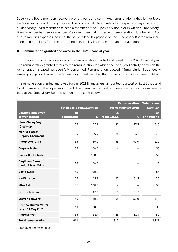Supervisory Board members receive a pro rata basic and committee remuneration if they join or leave the Supervisory Board during the year. The pro rata calculation refers to the quarters begun in which a Supervisory Board member has been a member of the Supervisory Board or in which a Supervisory Board member has been a member of a committee that comes with remuneration. Jungheinrich AG also reimburses expenses incurred, the value-added tax payable on the Supervisory Board's remuneration, and premiums for directors and officers liability insurance in an appropriate amount.

#### B. Remuneration granted and owed in the 2021 financial year

This chapter provides an overview of the remuneration granted and owed in the 2021 financial year. The remuneration granted refers to the remuneration for which the (one-year) activity on which the remuneration is based has been fully performed. Remuneration is owed if Jungheinrich has a legally existing obligation towards the Supervisory Board member that is due but has not yet been fulfilled.

The remuneration granted and owed for the 2021 financial year amounted to a total of €1,121 thousand for all members of the Supervisory Board. The breakdown of total remuneration by the individual members of the Supervisory Board is shown in the table below.

|                                                            |                         | <b>Fixed basic remuneration</b> |                         | Remuneration<br>for committee work | Total remu-<br>neration  |
|------------------------------------------------------------|-------------------------|---------------------------------|-------------------------|------------------------------------|--------------------------|
| <b>Granted and owed</b><br>remuneration                    | in<br><b>€ thousand</b> | $\frac{9}{6}$                   | in<br><b>€ thousand</b> | $\frac{9}{6}$                      | in.<br><b>€ thousand</b> |
| <b>Hans-Georg Frey</b><br>(Chairman)                       | 165                     | 76.7                            | 50                      | 23.3                               | 215                      |
| Markus Haase <sup>1</sup><br>(Deputy Chairman)             | 83                      | 76.9                            | 25                      | 23.1                               | 108                      |
| <b>Antoinette P. Aris</b>                                  | 55                      | 50.0                            | 55                      | 50.0                               | 110                      |
| Dagmar Bieber <sup>1</sup>                                 | 55                      | 100.0                           |                         |                                    | 55                       |
| Rainer Breitschädel <sup>1</sup>                           | 55                      | 100.0                           |                         |                                    | 55                       |
| Birgit von Garrel <sup>1</sup><br>(until 11 May 2021)      | 27                      | 100.0                           |                         |                                    | 27                       |
| <b>Beate Klose</b>                                         | 55                      | 100.0                           |                         |                                    | 55                       |
| <b>Wolff Lange</b>                                         | 55                      | 68.7                            | 25                      | 31.3                               | 80                       |
| Mike Retz <sup>1</sup>                                     | 55                      | 100.0                           |                         |                                    | 55                       |
| Dr Ulrich Schmidt                                          | 55                      | 42.3                            | 75                      | 57.7                               | 130                      |
| Steffen Schwarz <sup>1</sup>                               | 55                      | 50.0                            | 55                      | 50.0                               | 110                      |
| Kristina Thurau-Vetter <sup>1</sup><br>(since 11 May 2021) | 41                      | 100.0                           |                         |                                    | 41                       |
| <b>Andreas Wolf</b>                                        | 55                      | 68.7                            | 25                      | 31.3                               | 80                       |
| <b>Total remuneration</b>                                  | 811                     |                                 | 310                     |                                    | 1,121                    |

1 Employee representative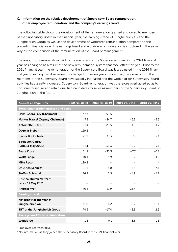# C. Information on the relative development of Supervisory Board remuneration, other employee remuneration, and the company's earnings trend

The following table shows the development of the remuneration granted and owed to members of the Supervisory Board in the financial year, the earnings trend of Jungheinrich AG and the Jungheinrich Group as well as the development of workforce remuneration compared to the preceding financial year. The earnings trend and workforce remuneration is structured in the same way as the comparison of the remuneration of the Board of Management.

The amount of remuneration paid to the members of the Supervisory Board in the 2021 financial year has changed as a result of the new remuneration system that took effect this year. Prior to the 2021 financial year, the remuneration of the Supervisory Board was last adjusted in the 2014 financial year, meaning that it remained unchanged for seven years. Since then, the demands on the members of the Supervisory Board have steadily increased and the workload for Supervisory Board activities has greatly increased. Supervisory Board remuneration was therefore overhauled so as to continue to secure and retain qualified candidates to serve as members of the Supervisory Board of Jungheinrich in the future.

| <b>Annual change in %</b>                                    | 2021 vs. 2020 | 2020 vs. 2019                     | 2019 vs. 2018 | 2018 vs. 2017            |  |
|--------------------------------------------------------------|---------------|-----------------------------------|---------------|--------------------------|--|
| Total remuneration granted and owed                          |               |                                   |               |                          |  |
| Hans-Georg Frey (Chairman)                                   | 47.3          | 50.5                              |               |                          |  |
| Markus Haase <sup>1</sup> (Deputy Chairman)                  | 47.3          | $-24.7$                           | $-5.8$        | $-5.5$                   |  |
| <b>Antoinette P. Aris</b>                                    | 77.4          | $-20.5$                           | $-4.9$        | $-4.7$                   |  |
| Dagmar Bieber <sup>1</sup>                                   | 129.2         |                                   |               |                          |  |
| Rainer Breitschädel <sup>1</sup>                             | 71.9          | $-33.3$                           | $-7.7$        | $-7.1$                   |  |
| Birgit von Garrel <sup>1</sup><br>(until 11 May 2021)        | $-14.1$       | $-33.3$                           | $-7.7$        | $-7.1$                   |  |
| <b>Beate Klose</b>                                           | 71.9          | $-33.3$                           | $-7.7$        | $-7.1$                   |  |
| <b>Wolff Lange</b>                                           | 40.4          | $-21.9$                           | $-5.2$        | $-4.9$                   |  |
| Mike Retz <sup>1</sup>                                       | 129.2         | $\overbrace{\phantom{123221111}}$ |               | $\overline{\phantom{m}}$ |  |
| <b>Dr Ulrich Schmidt</b>                                     | 21.5          | $-13.0$                           | $-3.1$        | $-3.1$                   |  |
| Steffen Schwarz <sup>1</sup>                                 | 36.2          | 3.5                               | $-4.9$        | $-4.7$                   |  |
| Kristina Thurau-Vetter <sup>1 2</sup><br>(since 11 May 2021) |               |                                   |               |                          |  |
| <b>Andreas Wolf</b>                                          | 40.4          | $-21.9$                           | 26.4          |                          |  |
| <b>Earnings trend</b>                                        |               |                                   |               |                          |  |
| Net profit for the year of                                   |               |                                   |               |                          |  |
| Jungheinrich AG                                              | 11.0          | $-4.2$                            | 2.2           | $-19.1$                  |  |
| <b>EBT of the Jungheinrich Group</b>                         | 74.5          | $-17.4$                           | $-2.8$        | 2.5                      |  |
| <b>Average workforce remuneration</b>                        |               |                                   |               |                          |  |
| Workforce                                                    | 1.6           | 0.1                               | 3.6           | 1.8                      |  |

1 Employee representative

<sup>2</sup> No information as they joined the Supervisory Board in the 2021 financial year.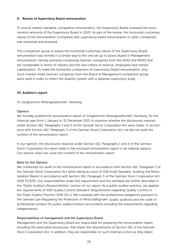#### D. Review of Supervisory Board remuneration

To ensure market-standard, competitive remuneration, the Supervisory Board reviewed the remuneration amounts of the Supervisory Board in 2020. As part of the review, the horizontal customary nature of the remuneration (compared with supervisory board remuneration in other companies) was examined and assessed.

The comparison group to assess the horizontal customary nature of the Supervisory Board remuneration was formed in a similar way to the one set up to assess Board of Management remuneration, namely primarily comprising German companies from the SDAX and MDAX that are comparable in terms of industry and the size criteria of revenue, employees and market capitalisation. To make the horizontal comparison of Supervisory Board remuneration, only stock-market-listed German companies from the Board of Management comparison group were used in order to reflect the dualistic system with a separate supervisory body.

#### III. Auditor's report

To Jungheinrich Aktiengesellschaft, Hamburg

#### Opinion

We formally audited the remuneration report of Jungheinrich Aktiengesellschaft, Hamburg, for the financial year from 1 January to 31 December 2021 to examine whether the disclosures required under Section 162, Paragraphs 1 and 2 of the German Stock Corporation Act were made. In accordance with Section 162, Paragraph 3 of the German Stock Corporation Act, we did not audit the content of the remuneration report.

In our opinion, the disclosures required under Section 162, Paragraphs 1 and 2 of the German Stock Corporation Act were made in the enclosed remuneration report in all material aspects. Our opinion does not cover the content of the remuneration report.

#### Basis for the Opinion

We conducted our audit of the remuneration report in accordance with Section 162, Paragraph 3 of the German Stock Corporation Act while taking account of IDW Audit Standard: Auditing the Remuneration Report in accordance with Section 162, Paragraph 3 of the German Stock Corporation Act (IDW PS 870). Our responsibilities under this requirement and this standard are further described in the "Public Auditor's Responsibilities" section of our report. As a public auditor practice, we applied the requirements of IDW Quality Control Standard: Requirements regarding Quality Control in the Public Auditor Practice (IDW QS 1). We complied with the professional obligations pursuant to the German Law Regulating the Profession of Wirtschaftsprüfer (public auditors) and the code of professional conduct for public auditors/sworn accountants including the requirements regarding independence.

#### Responsibilities of management and the Supervisory Board

Management and the Supervisory Board are responsible for preparing the remuneration report, including the associated disclosures, that meets the requirements of Section 162 of the German Stock Corporation Act. In addition, they are responsible for such internal control as they deem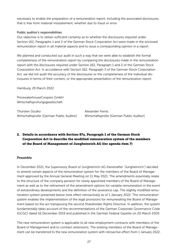necessary to enable the preparation of a remuneration report, including the associated disclosures, that is free from material misstatement, whether due to fraud or error.

#### Public auditor's responsibilities

Our objective is to obtain sufficient certainty as to whether the disclosures required under Section 162, Paragraphs 1 and 2 of the German Stock Corporation Act were made in the enclosed remuneration report in all material aspects and to issue a corresponding opinion in a report.

We planned and conducted our audit in such a way that we were able to establish the formal completeness of the remuneration report by comparing the disclosures made in the remuneration report with the disclosures required under Section 162, Paragraph 1 and 2 of the German Stock Corporation Act. In accordance with Section 162, Paragraph 3 of the German Stock Corporation Act, we did not audit the accuracy of the disclosures or the completeness of the individual disclosures in terms of their content, or the appropriate presentation of the remuneration report.

Hamburg, 29 March 2022

PricewaterhouseCoopers GmbH Wirtschaftsprüfungsgesellschaft

Thorsten Dzulko **Alexander Fernis** Wirtschaftsprüfer [German Public Auditor] Wirtschaftsprüfer [German Public Auditor]

# 2. Details in accordance with Section 87a, Paragraph 1 of the German Stock Corporation Act to describe the modified remuneration system of the members of the Board of Management of Jungheinrich AG (for agenda item 7)

#### Preamble

In December 2021, the Supervisory Board of Jungheinrich AG (hereinafter "Jungheinrich") decided to amend certain aspects of the remuneration system for the members of the Board of Management approved by the Annual General Meeting on 11 May 2021. The amendments essentially relate to the structure of the company pension for newly appointed members of the Board of Management as well as to the refinement of the amendment options for variable remuneration in the event of extraordinary developments and the definition of the severance cap. The slightly modified remuneration system presented below took effect retroactively as of 1 January 2022. This remuneration system enables the implementation of the legal provisions for remunerating the Board of Management based on the act transposing the second Shareholder Rights Directive. In addition, the system fundamentally takes account of the recommendations of the German Corporate Governance Code (GCGC) dated 16 December 2019 and published in the German Federal Gazette on 20 March 2020.

The new remuneration system is applicable to all new employment contracts with members of the Board of Management and to contract extensions. The existing members of the Board of Management can be transferred to the new remuneration system with retroactive effect from 1 January 2022.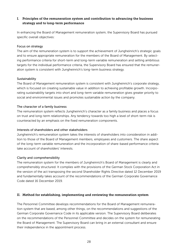# I. Principles of the remuneration system and contribution to advancing the business strategy and to long-term performance

In enhancing the Board of Management remuneration system, the Supervisory Board has pursued specific overall objectives:

## Focus on strategy

The aim of the remuneration system is to support the achievement of Jungheinrich's strategic goals and to ensure appropriate remuneration for the members of the Board of Management. By selecting performance criteria for short-term and long-term variable remuneration and setting ambitious targets for the individual performance criteria, the Supervisory Board has ensured that the remuneration system is consistent with Jungheinrich's long-term business strategy.

#### Sustainability

The Board of Management remuneration system is consistent with Jungheinrich's corporate strategy, which is focused on creating sustainable value in addition to achieving profitable growth. Incorporating sustainability targets into short and long-term variable remuneration gives greater priority to social and environmental issues and promotes sustainable action by the company.

## The character of a family business

The remuneration system reflects Jungheinrich's character as a family business and places a focus on trust and long-term relationships. Any tendency towards too high a level of short-term risk is counteracted by an emphasis on the fixed remuneration components.

# Interests of shareholders and other stakeholders

Jungheinrich's remuneration system takes the interests of shareholders into consideration in addition to those of the Board of Management members, employees and customers. The share aspect of the long-term variable remuneration and the incorporation of share-based performance criteria take account of shareholders' interests.

#### Clarity and comprehensibility

The remuneration system for the members of Jungheinrich's Board of Management is clearly and comprehensibly structured. It complies with the provisions of the German Stock Corporation Act in the version of the act transposing the second Shareholder Rights Directive dated 12 December 2019 and fundamentally takes account of the recommendations of the German Corporate Governance Code dated 16 December 2019.

#### II. Method for establishing, implementing and reviewing the remuneration system

The Personnel Committee develops recommendations for the Board of Management remuneration system that are based, among other things, on the recommendations and suggestions of the German Corporate Governance Code in its applicable version. The Supervisory Board deliberates on the recommendations of the Personnel Committee and decides on the system for remunerating the Board of Management. The Supervisory Board can bring in an external consultant and ensure their independence in the appointment process.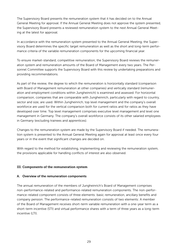The Supervisory Board presents the remuneration system that it has decided on to the Annual General Meeting for approval. If the Annual General Meeting does not approve the system presented, the Supervisory Board presents a reviewed remuneration system to the next Annual General Meeting at the latest for approval.

In accordance with the remuneration system presented to the Annual General Meeting, the Supervisory Board determines the specific target remuneration as well as the short and long-term performance criteria of the variable remuneration components for the upcoming financial year.

To ensure market-standard, competitive remuneration, the Supervisory Board reviews the remuneration system and remuneration amounts of the Board of Management every two years. The Personnel Committee supports the Supervisory Board with this review by undertaking preparations and providing recommendations.

As part of the review, the degree to which the remuneration is horizontally standard (comparison with Board of Management remuneration at other companies) and vertically standard (remuneration and employment conditions within Jungheinrich) is examined and assessed. For horizontal comparison, companies that are comparable with Jungheinrich, particularly with regard to country, sector and size, are used. Within Jungheinrich, top level management and the company's overall workforce are used for the vertical comparison both for current ratios and for ratios as they have developed over time. Top level management comprises executive level management and level one management in Germany. The company's overall workforce consists of its other salaried employees in Germany (excluding trainees and apprentices).

Changes to the remuneration system are made by the Supervisory Board if needed. The remuneration system is presented to the Annual General Meeting again for approval at least once every four years or in the event that significant changes are decided on.

With regard to the method for establishing, implementing and reviewing the remuneration system, the provisions applicable for handling conflicts of interest are also observed.

#### III. Components of the remuneration system

#### A. Overview of the remuneration components

The annual remuneration of the members of Jungheinrich's Board of Management comprises non-performance-related and performance-related remuneration components. The non-performance-related component consists of three elements: basic remuneration, ancillary benefits and company pension. The performance-related remuneration consists of two elements: A member of the Board of Management receives short-term variable remuneration with a one-year term as a short-term incentive (STI) and virtual performance shares with a term of three years as a long-term incentive (LTI).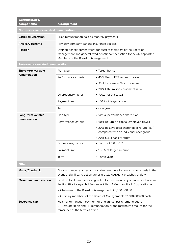| Remuneration<br>components              | <b>Arrangement</b>                           |                                                                                                                                                          |  |  |
|-----------------------------------------|----------------------------------------------|----------------------------------------------------------------------------------------------------------------------------------------------------------|--|--|
| Non-performance-related remuneration    |                                              |                                                                                                                                                          |  |  |
| <b>Basic remuneration</b>               |                                              | Fixed remuneration paid as monthly payments                                                                                                              |  |  |
| <b>Ancillary benefits</b>               | Primarily company car and insurance policies |                                                                                                                                                          |  |  |
| Pension                                 | Members of the Board of Management           | Defined benefit commitment for current Members of the Board of<br>Management and general fixed benefit compensation for newly appointed                  |  |  |
| <b>Performance-related remuneration</b> |                                              |                                                                                                                                                          |  |  |
| <b>Short-term variable</b>              | Plan type                                    | • Target bonus                                                                                                                                           |  |  |
| remuneration                            | Performance criteria                         | • 45% Group EBT return on sales                                                                                                                          |  |  |
|                                         |                                              | • 35% Increase in Group revenue                                                                                                                          |  |  |
|                                         |                                              | • 20% Lithium-ion equipment ratio                                                                                                                        |  |  |
|                                         | Discretionary factor                         | • Factor of 0.8 to 1.2                                                                                                                                   |  |  |
|                                         | Payment limit                                | • 150% of target amount                                                                                                                                  |  |  |
|                                         | Term                                         | • One year                                                                                                                                               |  |  |
| Long-term variable                      | Plan type                                    | • Virtual performance share plan                                                                                                                         |  |  |
| remuneration                            | Performance criteria                         | • 60% Return on capital employed (ROCE)                                                                                                                  |  |  |
|                                         |                                              | • 20% Relative total shareholder return (TSR)<br>compared with an individual peer group                                                                  |  |  |
|                                         |                                              | • 20% Sustainability target                                                                                                                              |  |  |
|                                         | Discretionary factor                         | • Factor of 0.8 to 1.2                                                                                                                                   |  |  |
|                                         | Payment limit                                | • 180% of target amount                                                                                                                                  |  |  |
|                                         | Term                                         | • Three years                                                                                                                                            |  |  |
| Other                                   |                                              |                                                                                                                                                          |  |  |
| Malus/Clawback                          |                                              | Option to reduce or reclaim variable remuneration on a pro rata basis in the<br>event of significant, deliberate or grossly negligent breaches of duty   |  |  |
| <b>Maximum remuneration</b>             |                                              | Limit on total remuneration granted for one financial year in accordance with<br>Section 87a Paragraph 1 Sentence 2 Item 1 German Stock Corporation Act: |  |  |
|                                         |                                              | • Chairman of the Board of Management: €3,500,000.00                                                                                                     |  |  |
|                                         |                                              | • Ordinary members of the Board of Management: €2,300,000.00 each                                                                                        |  |  |
| Severance cap                           | remainder of the term of office              | Maximal termination payment of one annual basic remuneration,<br>STI remuneration and LTI remuneration or the maximum amount for the                     |  |  |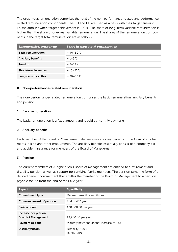The target total remuneration comprises the total of the non-performance-related and performancerelated remuneration components. The STI and LTI are used as a basis with their target amount, i.e. the amount when target achievement is 100 %. The share of long-term variable remuneration is higher than the share of one-year variable remuneration. The shares of the remuneration components in the target total remuneration are as follows:

| <b>Remuneration component</b> | Share in target total remuneration |
|-------------------------------|------------------------------------|
| <b>Basic remuneration</b>     | $\sim$ 40-50 %                     |
| <b>Ancillary benefits</b>     | $\sim$ 1-5%                        |
| <b>Pension</b>                | $\sim 5 - 15\%$                    |
| Short-term incentive          | $\sim$ 15 – 25 %                   |
| Long-term incentive           | $\sim$ 20 – 30 %                   |

#### B. Non-performance-related remuneration

The non-performance-related remuneration comprises the basic remuneration, ancillary benefits and pension.

#### 1. Basic remuneration

The basic remuneration is a fixed amount and is paid as monthly payments.

#### 2. Ancillary benefits

Each member of the Board of Management also receives ancillary benefits in the form of emoluments in kind and other emoluments. The ancillary benefits essentially consist of a company car and accident insurance for members of the Board of Management.

#### 3. Pension

The current members of Jungheinrich's Board of Management are entitled to a retirement and disability pension as well as support for surviving family members. The pension takes the form of a defined benefit commitment that entitles the member of the Board of Management to a pension payable for life from the end of their 63rd year.

| <b>Aspect</b>                                      | <b>Specificity</b>                      |
|----------------------------------------------------|-----------------------------------------|
| <b>Commitment type</b>                             | Defined benefit commitment              |
| <b>Commencement of pension</b>                     | End of $63rd$ year                      |
| <b>Basic amount</b>                                | €30,000.00 per year                     |
| Increase per year on<br><b>Board of Management</b> | €4,200.00 per year                      |
| <b>Payment options</b>                             | Monthly payment (annual increase of 1%) |
| Disability/death                                   | Disability: 100%<br>Death: 50%          |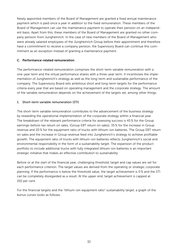Newly appointed members of the Board of Management are granted a fixed annual maintenance payment which is paid once a year in addition to the fixed remuneration. These members of the Board of Management can use the maintenance payment to operate their pension on an independent basis. Apart from this, these members of the Board of Management are granted no other company pension from Jungheinrich. In the case of new members of the Board of Management who were already salaried employees of the Jungheinrich Group before their appointment and therefore have a commitment to receive a company pension, the Supervisory Board can continue this commitment as an exception instead of granting a maintenance payment.

#### C. Performance-related remuneration

The performance-related remuneration comprises the short-term variable remuneration with a one-year term and the virtual performance shares with a three-year term. It incentivises the implementation of Jungheinrich's strategy as well as the long-term and sustainable performance of the company. The Supervisory Board sets ambitious short and long-term targets for the performance criteria every year that are based on operating management and the corporate strategy. The amount of the variable remuneration depends on the achievement of the targets set, among other things.

## 1. Short-term variable remuneration (STI)

The short-term variable remuneration contributes to the advancement of the business strategy by rewarding the operational implementation of the corporate strategy within a financial year. The breakdown of the relevant performance criteria for assessing success is 45 % for the Group earnings-before-tax return on sales, (Group EBT return on sales), 35 % for the increase in Group revenue and 20 % for the equipment ratio of trucks with lithium-ion batteries. The Group EBT return on sales and the increase in Group revenue feed into Jungheinrich's strategy to achieve profitable growth. The equipment ratio of trucks with lithium-ion batteries reflects Jungheinrich's social and environmental responsibility in the form of a sustainability target. The expansion of the product portfolio to include additional trucks with fully integrated lithium-ion batteries is an important strategic initiative that makes an effective contribution to sustainability.

Before or at the start of the financial year, challenging threshold, target and cap values are set for each performance criterion. The target values are derived from the operating or strategic corporate planning. If the performance is below the threshold value, the target achievement is 0 % and the STI can be completely disregarded as a result. At the upper end, target achievement is capped at 150 per cent.

For the financial targets and the "lithium-ion equipment ratio" sustainability target, a graph of the bonus curves looks as follows: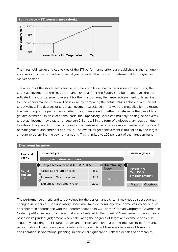

The threshold, target and cap values of the STI performance criteria are published in the remuneration report for the respective financial year provided that this is not detrimental to Jungheinrich's market position.

The amount of the short-term variable remuneration for a financial year is determined using the target achievement of the set performance criteria. After the Supervisory Board approves the consolidated financial statements relevant for the financial year, the target achievement is determined for each performance criterion. This is done by comparing the actual values achieved with the set target values. The degrees of target achievement calculated in this way are multiplied by the respective weighting of the performance criterion and then added together to determine the overall target achievement. On an exceptional basis, the Supervisory Board can multiply the degree of overall target achievement by a factor of between 0.8 and 1.2 in the form of a discretionary decision due to extraordinary events or due to the individual performance of one or more members of the Board of Management and amend it as a result. The overall target achievement is multiplied by the target amount to determine the payment amount. This is limited to 150 per cent of the target amount.



The performance criteria and target values for the performance criteria may not be subsequently changed in principle. The Supervisory Board may take extraordinary developments into account as appropriate in accordance with the recommendation in G.11 of the German Corporate Governance Code in justified exceptional cases that are not related to the Board of Management's performance based on its prudent judgement when calculating the degrees of target achievement or by subsequently adjusting the LTI target values and performance criteria during the current performance period. Extraordinary developments refer solely to significant business changes not taken into consideration in operational planning, in particular significant purchases or sales of companies,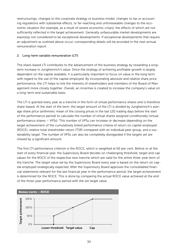restructurings, changes to the corporate strategy or business model, changes to tax or accounting regulations with substantial effects, or far-reaching and unforeseeable changes to the economic situation (for example, as a result of severe economic crises), the effects of which are not sufficiently reflected in the target achievement. Generally unfavourable market developments are expressly not considered to be exceptional developments. If exceptional developments that require an adjustment as outlined above occur, corresponding details will be provided in the next annual remuneration report.

## 2. Long-term variable remuneration (LTI)

The share-based LTI contributes to the advancement of the business strategy by rewarding a longterm increase in Jungheinrich's value. Since the strategy of achieving profitable growth is largely dependent on the capital available, it is particularly important to focus on value in the long term with regard to the use of the capital employed. By incorporating absolute and relative share price performance, the LTI helps to link the interests of shareholders and members of the Board of Management more closely together. Overall, an incentive is created to increase the company's value on a long-term and sustainable basis.

The LTI is granted every year as a tranche in the form of virtual performance shares and is therefore share-based. At the start of the term, the target amount of the LTI is divided by Jungheinrich's average share price (arithmetic mean of the closing prices in the last 120 trading days before the start of the performance period) to calculate the number of virtual shares assigned conditionally (virtual performance shares – VPSs). This number of VPSs can increase or decrease depending on the target achievement of the cumulatively linked performance criteria of return on capital employed (ROCE), relative total shareholder return (TSR) compared with an individual peer group, and a sustainability target. The number of VPSs can also be completely disregarded if the targets set are missed by a significant amount.

The first LTI performance criterion is the ROCE, which is weighted at 60 per cent. Before or at the start of every financial year, the Supervisory Board decides on challenging threshold, target and cap values for the ROCE of the respective new tranche which are valid for the entire three-year term of the tranche. The target value set by the Supervisory Board every year is based on the return on capital employed strategically expected. After the Supervisory Board approves the consolidated financial statements relevant for the last financial year in the performance period, the target achievement is determined for the ROCE. This is done by comparing the actual ROCE value achieved at the end of the three-year performance period with the set target value.

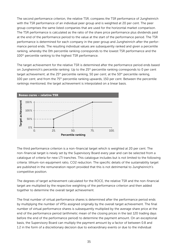The second performance criterion, the relative TSR, compares the TSR performance of Jungheinrich with the TSR performance of an individual peer group and is weighted at 20 per cent. The peer group comprises the same listed companies that are used for the horizontal market comparison. The TSR performance is calculated as the ratio of the share price performance plus dividends paid at the end of the performance period to the value at the start of the performance period. The TSR performance is determined for each company in the peer group and Jungheinrich after the performance period ends. The resulting individual values are subsequently ranked and given a percentile ranking, whereby the 0th percentile ranking corresponds to the lowest TSR performance and the 100<sup>th</sup> percentile ranking to the highest TSR performance.

The target achievement for the relative TSR is determined after the performance period ends based on Jungheinrich's percentile ranking: Up to the 25<sup>th</sup> percentile ranking corresponds to 0 per cent target achievement; at the  $25<sup>th</sup>$  percentile ranking, 50 per cent; at the  $50<sup>th</sup>$  percentile ranking, 100 per cent; and from the 75<sup>th</sup> percentile ranking upwards, 150 per cent. Between the percentile rankings mentioned, the target achievement is interpolated on a linear basis.



The third performance criterion is a non-financial target which is weighted at 20 per cent. The non-financial target is newly set by the Supervisory Board every year and can be selected from a catalogue of criteria for new LTI tranches. This catalogue includes but is not limited to the following criteria: lithium-ion equipment ratio, CO2 reduction. The specific details of the sustainability target are published in the remuneration report provided that this is not detrimental to Jungheinrich's competitive position.

The degrees of target achievement calculated for the ROCE, the relative TSR and the non-financial target are multiplied by the respective weighting of the performance criterion and then added together to determine the overall target achievement.

The final number of virtual performance shares is determined after the performance period ends by multiplying the number of VPSs assigned originally by the overall target achievement. The final number of virtual performance shares is subsequently multiplied by the average share price at the end of the performance period (arithmetic mean of the closing prices in the last 120 trading days before the end of the performance period) to determine the payment amount. On an exceptional basis, the Supervisory Board can multiply the payment amount by a factor of between 0.8 and 1.2 in the form of a discretionary decision due to extraordinary events or due to the individual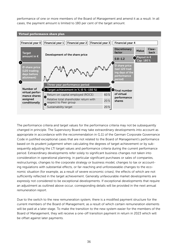performance of one or more members of the Board of Management and amend it as a result. In all cases, the payment amount is limited to 180 per cent of the target amount.



The performance criteria and target values for the performance criteria may not be subsequently changed in principle. The Supervisory Board may take extraordinary developments into account as appropriate in accordance with the recommendation in G.11 of the German Corporate Governance Code in justified exceptional cases that are not related to the Board of Management's performance based on its prudent judgement when calculating the degrees of target achievement or by subsequently adjusting the LTI target values and performance criteria during the current performance period. Extraordinary developments refer solely to significant business changes not taken into consideration in operational planning, in particular significant purchases or sales of companies, restructurings, changes to the corporate strategy or business model, changes to tax or accounting regulations with substantial effects, or far-reaching and unforeseeable changes to the economic situation (for example, as a result of severe economic crises), the effects of which are not sufficiently reflected in the target achievement. Generally unfavourable market developments are expressly not considered to be exceptional developments. If exceptional developments that require an adjustment as outlined above occur, corresponding details will be provided in the next annual remuneration report.

Due to the switch to the new remuneration system, there is a modified payment structure for the current members of the Board of Management, as a result of which certain remuneration elements will be paid at a later stage. To make the transition to the new system easier for the members of the Board of Management, they will receive a one-off transition payment in return in 2023 which will be offset against later payments.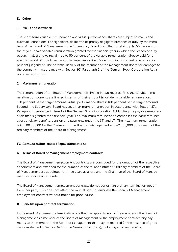# D. Other

# 1. Malus and clawback

The short-term variable remuneration and virtual performance shares are subject to malus and clawback conditions. For significant, deliberate or grossly negligent breaches of duty by the members of the Board of Management, the Supervisory Board is entitled to retain up to 50 per cent of the as yet unpaid variable remuneration granted for the financial year in which the breach of duty occurs (malus) and to reclaim up to 50 per cent of the variable remuneration already paid for a specific period of time (clawback). The Supervisory Board's decision in this regard is based on its prudent judgement. The potential liability of the member of the Management Board for damages to the company in accordance with Section 93, Paragraph 2 of the German Stock Corporation Act is not affected by this.

# 2. Maximum remuneration

The remuneration of the Board of Management is limited in two regards. First, the variable remuneration components are limited in terms of their amount (short-term variable remuneration: 150 per cent of the target amount, virtual performance shares: 180 per cent of the target amount). Second, the Supervisory Board has set a maximum remuneration in accordance with Section 87a, Paragraph 1, Sentence 2, Item 1 of the German Stock Corporation Act limiting the payable remuneration that is granted for a financial year. This maximum remuneration comprises the basic remuneration, ancillary benefits, pension and payments under the STI and LTI. The maximum remuneration is €3,500,000.00 for the Chairman of the Board of Management and €2,300,000.00 for each of the ordinary members of the Board of Management:

# IV. Remuneration-related legal transactions

# A. Terms of Board of Management employment contracts

The Board of Management employment contracts are concluded for the duration of the respective appointment and extended for the duration of the re-appointment. Ordinary members of the Board of Management are appointed for three years as a rule and the Chairman of the Board of Management for four years as a rule.

The Board of Management employment contracts do not contain an ordinary termination option for either party. This does not affect the mutual right to terminate the Board of Management employment contract without notice for good cause.

# B. Benefits upon contract termination

In the event of a premature termination of either the appointment of the member of the Board of Management as a member of the Board of Management or the employment contract, any payments to the member of the Board of Management that may be required (in the absence of good cause as defined in Section 626 of the German Civil Code), including ancillary benefits,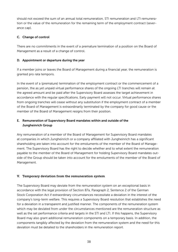should not exceed the sum of an annual total remuneration, STI remuneration and LTI remuneration or the value of the remuneration for the remaining term of the employment contract (severance cap).

# C. Change of control

There are no commitments in the event of a premature termination of a position on the Board of Management as a result of a change of control.

# D. Appointment or departure during the year

If a member joins or leaves the Board of Management during a financial year, the remuneration is granted pro rata temporis.

In the event of a (premature) termination of the employment contract or the commencement of a pension, the as yet unpaid virtual performance shares of the ongoing LTI tranches will remain at the agreed amount and be paid after the Supervisory Board assesses the target achievement in accordance with the regular specifications. Early payment will not occur. Virtual performance shares from ongoing tranches will cease without any substitution if the employment contract of a member of the Board of Management is extraordinarily terminated by the company for good cause or the member of the Board of Management resigns from their position.

# E. Remuneration of Supervisory Board mandates within and outside of the Jungheinrich Group

Any remuneration of a member of the Board of Management for Supervisory Board mandates at companies in which Jungheinrich or a company affiliated with Jungheinrich has a significant shareholding are taken into account for the emoluments of the member of the Board of Management. The Supervisory Board has the right to decide whether and to what extent the remuneration payable to the member of the Board of Management for holding Supervisory Board mandates outside of the Group should be taken into account for the emoluments of the member of the Board of Management.

# V. Temporary deviation from the remuneration system

The Supervisory Board may deviate from the remuneration system on an exceptional basis in accordance with the legal provision of Section 87a, Paragraph 2, Sentence 2 of the German Stock Corporation Act if extraordinary circumstances necessitate a deviation in the interest of the company's long-term welfare. This requires a Supervisory Board resolution that establishes the need for a deviation in a transparent and justified manner. The components of the remuneration system which may be deviated from under the circumstances mentioned are the remuneration structure as well as the set performance criteria and targets in the STI and LTI. If this happens, the Supervisory Board may also grant additional remuneration components on a temporary basis. In addition, the components tangibly affected by the deviation from the remuneration system and the need for this deviation must be detailed to the shareholders in the remuneration report.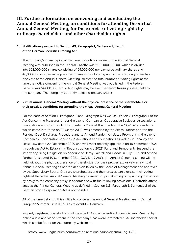# III. Further information on convening and conducting the Annual General Meeting, on conditions for attending the virtual Annual General Meeting, for the exercise of voting rights by ordinary shareholders and other shareholder rights

# 1. Notifications pursuant to Section 49, Paragraph 1, Sentence 1, Item 1 of the German Securities Trading Act

The company's share capital at the time the notice convening the Annual General Meeting was published in the Federal Gazette was €102,000,000.00, which is divided into 102,000,000 shares consisting of 54,000,000 no-par-value ordinary shares and 48,000,000 no-par-value preferred shares without voting rights. Each ordinary share has one vote at the Annual General Meeting, so that the total number of voting rights at the time the notice convening the Annual General Meeting was published in the Federal Gazette was 54,000,000. No voting rights may be exercised from treasury shares held by the company. The company currently holds no treasury shares.

# 2. Virtual Annual General Meeting without the physical presence of the shareholders or their proxies, conditions for attending the virtual Annual General Meeting

On the basis of Section 1, Paragraph 2 and Paragraph 6 as well as Section 7, Paragraph 1 of the Act Concerning Measures Under the Law of Companies, Cooperative Societies, Associations, Foundations and Commonhold Property to Combat the Effects of the COVID-19 Pandemic, which came into force on 28 March 2020, was amended by the Act to Further Shorten the Residual Debt Discharge Procedure and to Amend Pandemic-related Provisions in the Law of Companies, Cooperative Societies, Associations and Foundations as well as in Tenancy and Lease Law dated 22 December 2020 and was most recently applicable on 15 September 2021 through the Act to Establish a "Reconstruction Aid 2021" Fund and Temporarily Suspend the Insolvency Filing Obligation on Account of Heavy Rainfall and Floods in July 2021 and Amend Further Acts dated 10 September 2021 ("COVID-19 Act"), the Annual General Meeting will be held without the physical presence of shareholders or their proxies exclusively as a virtual Annual General Meeting as per the decision taken by the Board of Management and approved by the Supervisory Board. Ordinary shareholders and their proxies can exercise their voting rights at the virtual Annual General Meeting by means of postal voting or by issuing instructions by proxy to the company proxy in accordance with the following provisions. Electronic attendance at the Annual General Meeting as defined in Section 118, Paragraph 1, Sentence 2 of the German Stock Corporation Act is not possible.

All of the time details in this notice to convene the Annual General Meeting are in Central European Summer Time (CEST) as relevant for Germany.

Properly registered shareholders will be able to follow the entire Annual General Meeting by online audio and video stream in the company's password-protected AGM shareholder portal, which can be found on the company website at

https://www.jungheinrich.com/investor-relations/hauptversammlung-1310.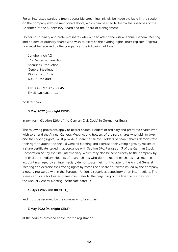For all interested parties, a freely accessible streaming link will be made available in the section on the company website mentioned above, which can be used to follow the speeches of the Chairmen of the Supervisory Board and the Board of Management.

Holders of ordinary and preferred shares who wish to attend the virtual Annual General Meeting, and holders of ordinary shares who wish to exercise their voting rights, must register. Registration must be received by the company at the following address:

Jungheinrich AG c/o Deutsche Bank AG Securities Production General Meetings P.O. Box 20 01 07 60605 Frankfurt

Fax: +49 69 12012 86045 Email: wp.hv@db-is.com

no later than

# 3 May 2022 (midnight CEST)

in text form (Section 126b of the German Civil Code) in German or English.

The following provisions apply to bearer shares. Holders of ordinary and preferred shares who wish to attend the Annual General Meeting, and holders of ordinary shares who wish to exercise their voting rights, must provide a share certificate. Holders of bearer shares demonstrate their right to attend the Annual General Meeting and exercise their voting rights by means of a share certificate issued in accordance with Section 67c, Paragraph 3 of the German Stock Corporation Act by the final intermediary, which may also be sent directly to the company by the final intermediary. Holders of bearer shares who do not keep their shares in a securities account managed by an intermediary demonstrate their right to attend the Annual General Meeting and exercise their voting rights by means of a share certificate issued by the company, a notary registered within the European Union, a securities depository or an intermediary. The share certificate for bearer shares must refer to the beginning of the twenty-first day prior to the Annual General Meeting (certificate date), i.e.

# 19 April 2022 (00.00 CEST),

and must be received by the company no later than

# 3 May 2022 (midnight CEST)

at the address provided above for the registration.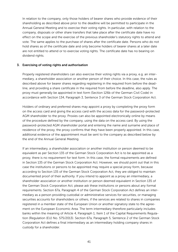In relation to the company, only those holders of bearer shares who provide evidence of their shareholding as described above prior to the deadline will be permitted to participate in the Annual General Meeting and to exercise their voting rights. In particular, with relation to the company, disposals or other share transfers that take place after the certificate date have no effect on the scope and the exercise of the previous shareholder's statutory rights to attend and vote. The same applies to the purchase of shares after the certificate date. Persons who do not hold shares as of the certificate date and only become holders of bearer shares at a later date are not entitled to attend or to exercise voting rights. The certificate date has no bearing on dividend rights.

#### 3. Exercising of voting rights and authorisation

Properly registered shareholders can also exercise their voting rights via a proxy, e.g. an intermediary, a shareholder association or another person of their choice. In this case, the rules as described above for bearer shares regarding registering in the required from before the deadline, and providing a share certificate in the required from before the deadline, also apply. The proxy must generally be appointed in text form (Section 126b of the German Civil Code) in accordance with Section 134, Paragraph 3, Sentence 3 of the German Stock Corporation Act.

Holders of ordinary and preferred shares may appoint a proxy by completing the proxy form on the access card and giving the access card with the access data for the password-protected AGM shareholder to the proxy. Proxies can also be appointed electronically online by means of the procedure defined by the company, using the data on the access card. By using the password-protected AGM shareholder portal and entering the name and surname and place of residence of the proxy, the proxy confirms that they have been properly appointed. In this case, additional evidence of the appointment must be sent to the company as described below by the end of the Annual General Meeting.

If an intermediary, a shareholder association or another institution or person deemed to be equivalent as per Section 135 of the German Stock Corporation Act is to be appointed as a proxy, there is no requirement for text form. In this case, the formal requirements are defined in Section 135 of the German Stock Corporation Act. However, we should point out that in this case the institutions or persons to be appointed may require a special proxy form, because according to Section 135 of the German Stock Corporation Act, they are obliged to maintain documented proof of their authority. If you intend to appoint as a proxy an intermediary, a shareholder association or another institution or person deemed equivalent in Section 135 of the German Stock Corporation Act, please ask these institutions or persons about any formal requirements. Section 67a, Paragraph 4 of the German Stock Corporation Act defines an intermediary as a person providing custodial or administrative services for securities, or managing securities accounts for shareholders or others, if the services are related to shares in companies registered in a member state of the European Union or another signatory state to the agreement on the European Economic Area. The term intermediary therefore particularly includes banks within the meaning of Article 4, Paragraph 1, Item 1 of the Capital Requirements Regulation (Regulation (EU) No. 575/2013). Section 67a, Paragraph 5, Sentence 2 of the German Stock Corporation Act defines a final intermediary as an intermediary holding company shares in custody for a shareholder.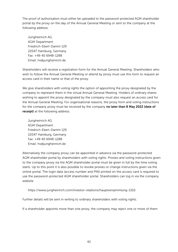The proof of authorisation must either be uploaded to the password-protected AGM shareholder portal by the proxy on the day of the Annual General Meeting or sent to the company at the following address:

Jungheinrich AG AGM Department Friedrich-Ebert-Damm 129 22047 Hamburg, Germany Fax: +49 40 6948-1288 Email: hv@jungheinrich.de

Shareholders will receive a registration form for the Annual General Meeting. Shareholders who wish to follow the Annual General Meeting or attend by proxy must use this form to request an access card in their name or that of the proxy.

We give shareholders with voting rights the option of appointing the proxy designated by the company to represent them in the virtual Annual General Meeting. Holders of ordinary shares wishing to appoint the proxy designated by the company must also request an access card for the Annual General Meeting. For organisational reasons, the proxy form and voting instructions for the company proxy must be received by the company no later than 8 May 2022 (date of receipt) at the following address:

Jungheinrich AG AGM Department Friedrich-Ebert-Damm 129 22047 Hamburg, Germany Fax: +49 40 6948-1288 Email: hv@jungheinrich.de

Alternatively the company proxy can be appointed in advance via the password-protected AGM shareholder portal by shareholders with voting rights. Proxies and voting instructions given to the company proxy via the AGM shareholder portal must be given in full by the time voting starts. Up to this point it is also possible to revoke proxies or change instructions given via the online portal. The login data (access number and PIN) printed on the access card is required to use the password-protected AGM shareholder portal. Shareholders can log in via the company website

https://www.jungheinrich.com/investor-relations/hauptversammlung-1310.

Further details will be sent in writing to ordinary shareholders with voting rights.

If a shareholder appoints more than one proxy, the company may reject one or more of them.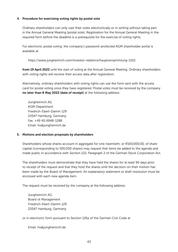#### 4. Procedure for exercising voting rights by postal vote

Ordinary shareholders can only cast their votes electronically or in writing without taking part in the Annual General Meeting (postal vote). Registration for the Annual General Meeting in the required form before the deadline is a prerequisite for the exercise of voting rights.

For electronic postal voting, the company's password-protected AGM shareholder portal is available at

https://www.jungheinrich.com/investor-relations/hauptversammlung-1310

from 19 April 2022 until the start of voting at the Annual General Meeting. Ordinary shareholders with voting rights will receive their access data after registration.

Alternatively, ordinary shareholders with voting rights can use the form sent with the access card for postal voting once they have registered. Postal votes must be received by the company no later than 8 May 2022 (date of receipt) at the following address:

Jungheinrich AG AGM Department Friedrich-Ebert-Damm 129 22047 Hamburg, Germany Fax: +49 40 6948-1288 Email: hv@jungheinrich.de

#### 5. Motions and election proposals by shareholders

Shareholders whose shares account in aggregate for one-twentieth, or €500,000.00, of share capital (corresponding to 500,000 shares) may request that items be added to the agenda and made public in accordance with Section 122, Paragraph 2 of the German Stock Corporation Act.

The shareholders must demonstrate that they have held the shares for at least 90 days prior to receipt of the request and that they hold the shares until the decision on their motion has been made by the Board of Management. An explanatory statement or draft resolution must be enclosed with each new agenda item.

The request must be received by the company at the following address:

Jungheinrich AG Board of Management Friedrich-Ebert-Damm 129 22047 Hamburg, Germany

or in electronic form pursuant to Section 126a of the German Civil Code at

Email: hv@jungheinrich.de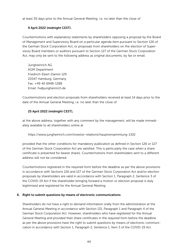at least 30 days prior to the Annual General Meeting, i.e. no later than the close of

## 9 April 2022 (midnight CEST).

Countermotions with explanatory statements by shareholders opposing a proposal by the Board of Management and Supervisory Board on a particular agenda item pursuant to Section 126 of the German Stock Corporation Act, or proposals from shareholders on the election of Supervisory Board members or auditors pursuant to Section 127 of the German Stock Corporation Act, may only be sent to the following address as original documents, by fax or email.

Jungheinrich AG AGM Department Friedrich-Ebert-Damm 129 22047 Hamburg, Germany Fax: +49 40 6948-1288 Email: hv@jungheinrich.de

Countermotions and election proposals from shareholders received at least 14 days prior to the date of the Annual General Meeting, i.e. no later than the close of

## 25 April 2022 (midnight CEST),

at the above address, together with any comment by the management, will be made immediately available to all shareholders online at

#### https://www.jungheinrich.com/investor-relations/hauptversammlung-1310

provided that the other conditions for mandatory publication as defined in Section 126 or 127 of the German Stock Corporation Act are satisfied. This is particularly the case when a share certificate is presented for bearer shares. Countermotions from shareholders sent to a different address will not be considered.

Countermotions registered in the required form before the deadline as per the above provisions in accordance with Sections 126 and 127 of the German Stock Corporation Act and/or election proposals by shareholders are valid in accordance with Section 1, Paragraph 2, Sentence 3 of the COVID-19 Act if the shareholder bringing forward a motion or election proposal is duly legitimised and registered for the Annual General Meeting.

#### 6. Right to submit questions by means of electronic communications

Shareholders do not have a right to demand information orally from the administration at the Annual General Meeting in accordance with Section 131, Paragraph 1 and Paragraph 4 of the German Stock Corporation Act. However, shareholders who have registered for the Annual General Meeting and provided their share certificates in the required form before the deadline as per the above provisions have the right to submit questions by means of electronic communication in accordance with Section 1, Paragraph 2, Sentence 1, Item 3 of the COVID-19 Act.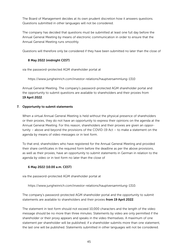The Board of Management decides at its own prudent discretion how it answers questions. Questions submitted in other languages will not be considered.

The company has decided that questions must be submitted at least one full day before the Annual General Meeting by means of electronic communication in order to ensure that the Annual General Meeting runs smoothly.

Questions will therefore only be considered if they have been submitted no later than the close of

## 8 May 2022 (midnight CEST)

via the password-protected AGM shareholder portal at

https://www.jungheinrich.com/investor-relations/hauptversammlung-1310

Annual General Meeting. The company's password-protected AGM shareholder portal and the opportunity to submit questions are available to shareholders and their proxies from 19 April 2022.

## 7. Opportunity to submit statements

When a virtual Annual General Meeting is held without the physical presence of shareholders or their proxies, they do not have an opportunity to express their opinions on the agenda at the Annual General Meeting. For this reason, shareholders and their proxies are given an opportunity – above and beyond the provisions of the COVID-19 Act – to make a statement on the agenda by means of video messages or in text form.

To that end, shareholders who have registered for the Annual General Meeting and provided their share certificates in the required form before the deadline as per the above provisions, as well as their proxies, have an opportunity to submit statements in German in relation to the agenda by video or in text form no later than the close of

# 6 May 2022 (10.00 a.m. CEST)

via the password-protected AGM shareholder portal at

https://www.jungheinrich.com/investor-relations/hauptversammlung-1310.

The company's password-protected AGM shareholder portal and the opportunity to submit statements are available to shareholders and their proxies from 19 April 2022.

The statement in text form should not exceed 10,000 characters and the length of the video message should be no more than three minutes. Statements by video are only permitted if the shareholder or their proxy appears and speaks in the video themselves. A maximum of one statement per shareholder will be published; if a shareholder submits more than one statement, the last one will be published. Statements submitted in other languages will not be considered.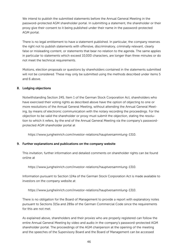We intend to publish the submitted statements before the Annual General Meeting in the password-protected AGM shareholder portal. In submitting a statement, the shareholder or their proxy give their consent to it being published under their name in the password-protected AGM portal.

There is no legal entitlement to have a statement published. In particular, the company reserves the right not to publish statements with offensive, discriminatory, criminally relevant, clearly false or misleading content, or statements that bear no relation to the agenda. The same applies in particular to statements which exceed 10,000 characters, are longer than three minutes or do not meet the technical requirements.

Motions, election proposals or questions by shareholders contained in the statements submitted will not be considered. These may only be submitted using the methods described under items 5 and 6 above.

## 8. Lodging objections

Notwithstanding Section 245, Item 1 of the German Stock Corporation Act, shareholders who have exercised their voting rights as described above have the option of objecting to one or more resolutions of the Annual General Meeting, without attending the Annual General Meeting, by means of electronic communication with the notary recording the proceedings. For the objection to be valid the shareholder or proxy must submit the objection, stating the resolution to which it refers, by the end of the Annual General Meeting via the company's passwordprotected AGM shareholder portal at

https://www.jungheinrich.com/investor-relations/hauptversammlung-1310.

#### 9. Further explanations and publications on the company website

This invitation, further information and detailed comments on shareholder rights can be found online at

https://www.jungheinrich.com/investor-relations/hauptversammlung-1310.

Information pursuant to Section 124a of the German Stock Corporation Act is made available to investors on the company website at

https://www.jungheinrich.com/investor-relations/hauptversammlung-1310.

There is no obligation for the Board of Management to provide a report with explanatory notes pursuant to Sections 315a and 289a of the German Commercial Code since the requirements for this are not met.

As explained above, shareholders and their proxies who are properly registered can follow the entire Annual General Meeting by video and audio in the company's password-protected AGM shareholder portal. The proceedings of the AGM chairperson at the opening of the meeting and the speeches of the Supervisory Board and the Board of Management can be accessed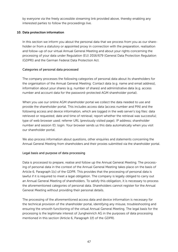by everyone via the freely accessible streaming link provided above, thereby enabling any interested parties to follow the proceedings live.

## 10. Data protection information

In this section we inform you about the personal data that we process from you as our shareholder or from a statutory or appointed proxy in connection with the preparation, realisation and follow-up of our virtual Annual General Meeting and about your rights concerning the processing of your data under Regulation (EU) 2016/679 (General Data Protection Regulation (GDPR)) and the German Federal Data Protection Act.

## Categories of personal data processed

The company processes the following categories of personal data about its shareholders for the organisation of the Annual General Meeting: Contact data (e.g. name and email address), information about your shares (e.g. number of shares) and administrative data (e.g. access number and account data for the password-protected AGM shareholder portal).

When you use our online AGM shareholder portal we collect the data needed to use and provide the shareholder portal. This includes access data (access number and PIN) and the following access and device information, which are logged in the web server's log files: data retrieved or requested; date and time of retrieval; report whether the retrieval was successful; type of web browser used; referrer URL (previously visited page); IP address; shareholder number and session ID; login. Your browser sends us this data automatically when you visit our shareholder portal.

We also process information about questions, other enquiries and statements concerning the Annual General Meeting from shareholders and their proxies submitted via the shareholder portal.

# Legal basis and purpose of data processing

Data is processed to prepare, realise and follow up the Annual General Meeting. The processing of personal data in the context of the Annual General Meeting takes place on the basis of Article 6, Paragraph 1(c) of the GDPR. This provides that the processing of personal data is lawful if it is required to meet a legal obligation. The company is legally obliged to carry out an Annual General Meeting of shareholders. To satisfy this obligation, it is necessary to process the aforementioned categories of personal data. Shareholders cannot register for the Annual General Meeting without providing their personal details.

The processing of the aforementioned access data and device information is necessary for the technical provision of the shareholder portal, identifying any misuse, troubleshooting and ensuring the smooth functioning of the virtual Annual General Meeting. The legal basis for the processing is the legitimate interest of Jungheinrich AG in the purposes of data processing mentioned in this section (Article 6, Paragraph 1(f) of the GDPR).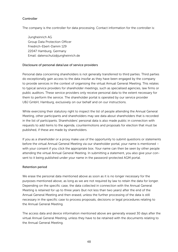## **Controller**

The company is the controller for data processing. Contact information for the controller is:

Jungheinrich AG Group Data Protection Officer Friedrich-Ebert-Damm 129 22047 Hamburg, Germany Email: datenschutz@jungheinrich.de

#### Disclosure of personal data/use of service providers

Personal data concerning shareholders is not generally transferred to third parties. Third parties do exceptionally gain access to the data insofar as they have been engaged by the company to provide services in the context of organising the virtual Annual General Meeting. This relates to typical service providers for shareholder meetings, such as specialised agencies, law firms or public auditors. These service providers only receive personal data to the extent necessary for them to perform the service. The shareholder portal is operated by our service provider UBJ GmbH, Hamburg, exclusively on our behalf and on our instructions.

While exercising their statutory right to inspect the list of people attending the Annual General Meeting, other participants and shareholders may see data about shareholders that is recorded in the list of participants. Shareholders' personal data is also made public in connection with requests to add items to the agenda, countermotions and proposals for election that must be published, if these are made by shareholders.

If you as a shareholder or a proxy make use of the opportunity to submit questions or statements before the virtual Annual General Meeting via our shareholder portal, your name is mentioned – with your consent if you click the appropriate box. Your name can then be seen by other people attending the virtual Annual General Meeting. In submitting a statement, you also give your consent to it being published under your name in the password-protected AGM portal.

#### Retention period

We erase the personal data mentioned above as soon as it is no longer necessary for the purposes mentioned above, as long as we are not required by law to retain the data for longer. Depending on the specific case, the data collected in connection with the Annual General Meeting is retained for up to three years (but not less than two years) after the end of the Annual General Meeting and then erased, unless the further processing of the data is still necessary in the specific case to process proposals, decisions or legal procedures relating to the Annual General Meeting.

The access data and device information mentioned above are generally erased 30 days after the virtual Annual General Meeting, unless they have to be retained with the documents relating to the Annual General Meeting.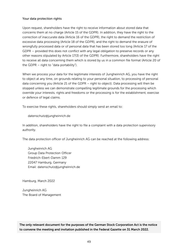#### Your data protection rights

Upon request, shareholders have the right to receive information about stored data that concerns them at no charge (Article 15 of the GDPR). In addition, they have the right to the correction of inaccurate data (Article 16 of the GDPR), the right to demand the restriction of excessive data processing (Article 18 of the GDPR), and the right to demand the erasure of wrongfully processed data or of personal data that has been stored too long (Article 17 of the GDPR – provided this does not conflict with any legal obligation to preserve records or any other reasons stipulated by Article 17(3) of the GDPR). Furthermore, shareholders have the right to receive all data concerning them which is stored by us in a common file format (Article 20 of the GDPR – right to "data portability").

When we process your data for the legitimate interests of Jungheinrich AG, you have the right to object at any time, on grounds relating to your personal situation, to processing of personal data concerning you (Article 21 of the GDPR – right to object). Data processing will then be stopped unless we can demonstrate compelling legitimate grounds for the processing which override your interests, rights and freedoms or the processing is for the establishment, exercise or defence of legal claims.

To exercise these rights, shareholders should simply send an email to:

datenschutz@jungheinrich.de

In addition, shareholders have the right to file a complaint with a data protection supervisory authority.

The data protection officer of Jungheinrich AG can be reached at the following address:

Jungheinrich AG Group Data Protection Officer Friedrich-Ebert-Damm 129 22047 Hamburg, Germany Email: datenschutz@jungheinrich.de

Hamburg, March 2022

Jungheinrich AG The Board of Management

The only relevant document for the purposes of the German Stock Corporation Act is the notice to convene the meeting and invitation published in the Federal Gazette on 31 March 2022.